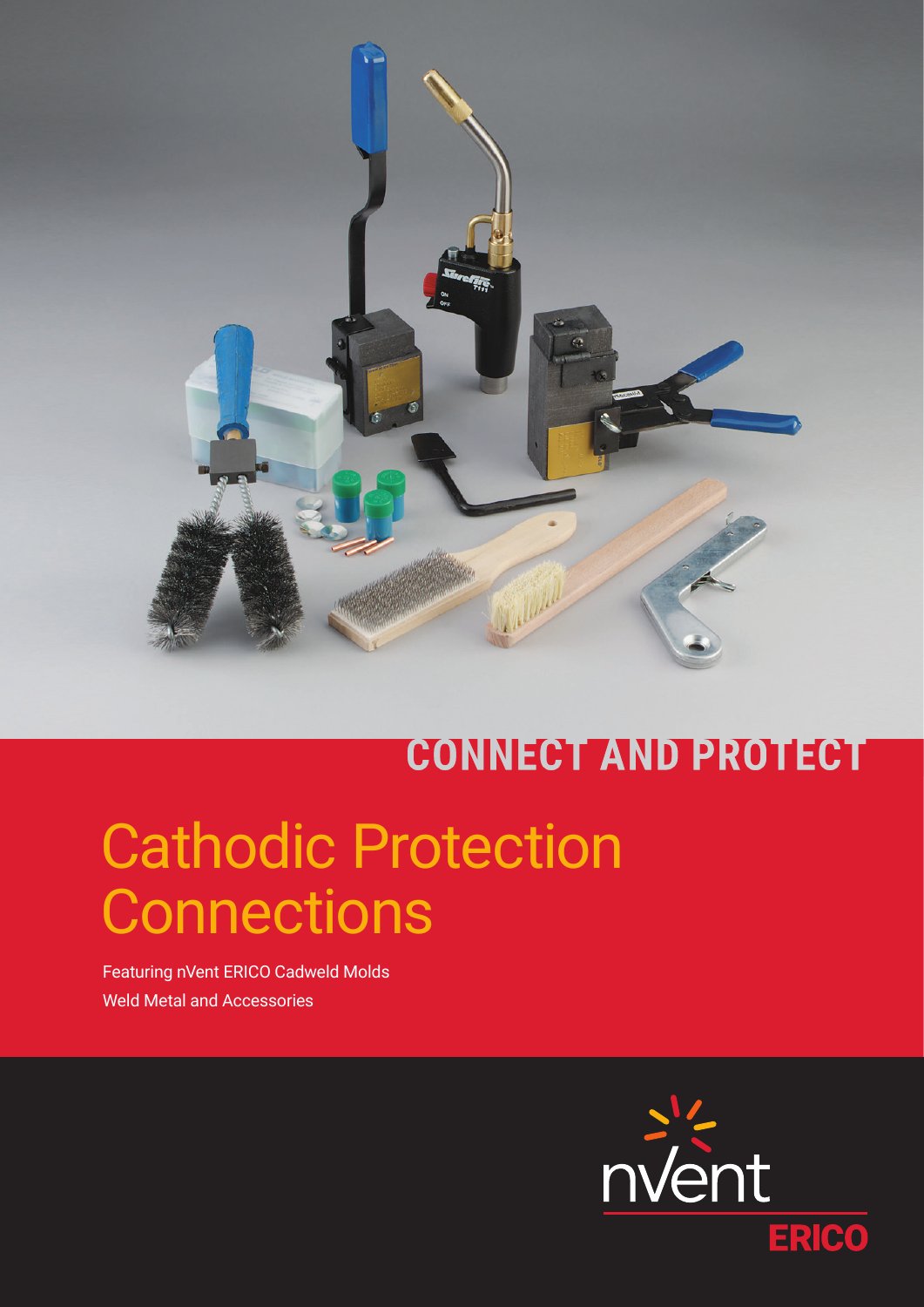

## **CONNECT AND PROTECT**

# Cathodic Protection **Connections**

Featuring nVent ERICO Cadweld Molds Weld Metal and Accessories

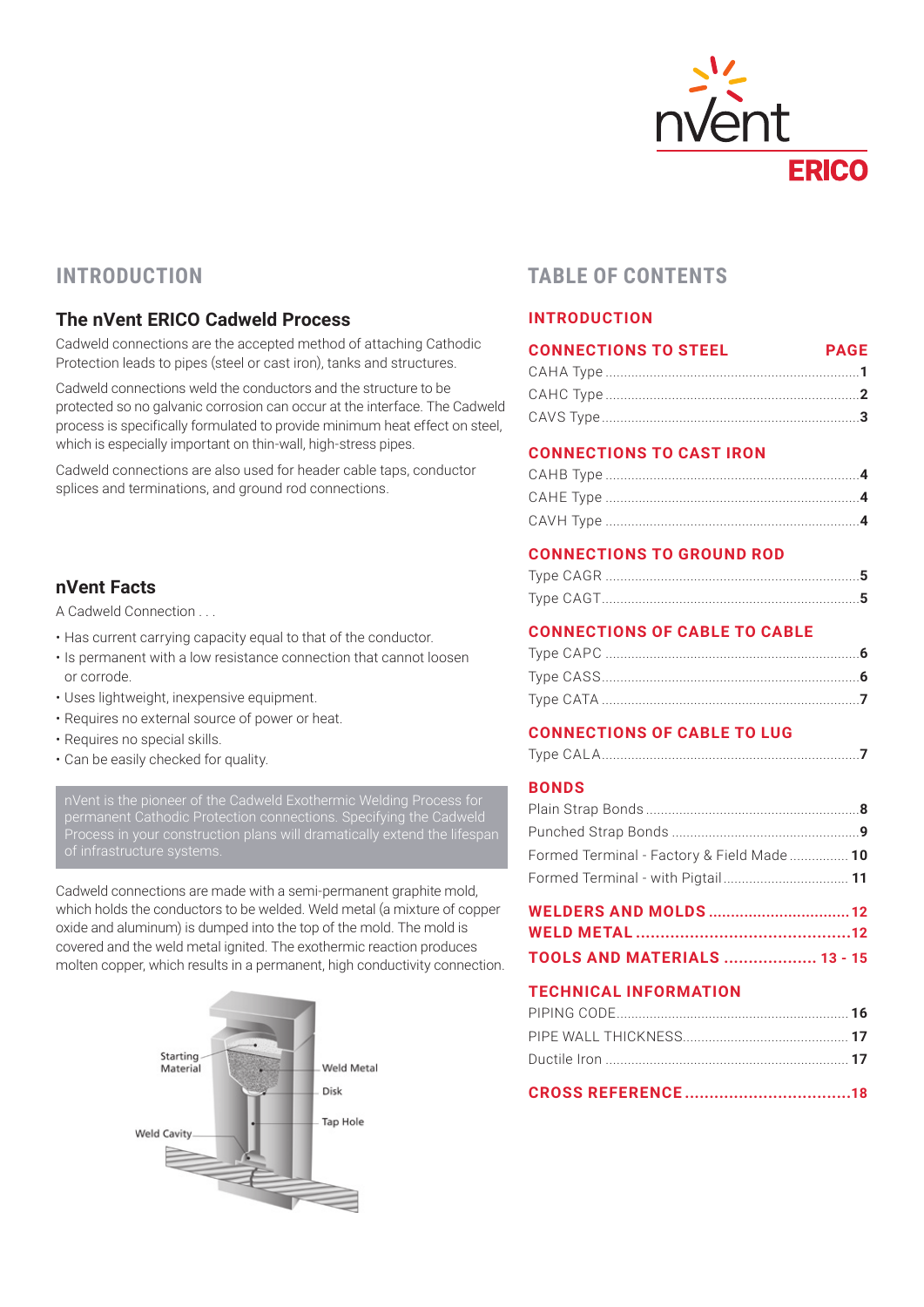

#### **The nVent ERICO Cadweld Process**

Cadweld connections are the accepted method of attaching Cathodic Protection leads to pipes (steel or cast iron), tanks and structures.

Cadweld connections weld the conductors and the structure to be protected so no galvanic corrosion can occur at the interface. The Cadweld process is specifically formulated to provide minimum heat effect on steel, which is especially important on thin-wall, high-stress pipes.

Cadweld connections are also used for header cable taps, conductor splices and terminations, and ground rod connections.

#### **nVent Facts**

A Cadweld Connection . . .

- Has current carrying capacity equal to that of the conductor.
- Is permanent with a low resistance connection that cannot loosen or corrode.
- Uses lightweight, inexpensive equipment.
- Requires no external source of power or heat.
- Requires no special skills.
- Can be easily checked for quality.

permanent Cathodic Protection connections. Specifying the Cadweld Process in your construction plans will dramatically extend the lifespan

Cadweld connections are made with a semi-permanent graphite mold, which holds the conductors to be welded. Weld metal (a mixture of copper oxide and aluminum) is dumped into the top of the mold. The mold is covered and the weld metal ignited. The exothermic reaction produces molten copper, which results in a permanent, high conductivity connection.



#### **INTRODUCTION TABLE OF CONTENTS**

#### **INTRODUCTION**

#### **CONNECTIONS TO STEEL PAGE**

#### **CONNECTIONS TO CAST IRON**

#### **CONNECTIONS TO GROUND ROD**

#### **CONNECTIONS OF CABLE TO CABLE**

#### **CONNECTIONS OF CABLE TO LUG**

Type CALA......................................................................**7**

#### **BONDS**

| Formed Terminal - Factory & Field Made  10 |  |
|--------------------------------------------|--|
|                                            |  |

| <b>WELDERS AND MOLDS 12</b> |  |
|-----------------------------|--|
|                             |  |

```
TOOLS AND MATERIALS ................... 13 - 15
```
#### **TECHNICAL INFORMATION**

|--|--|--|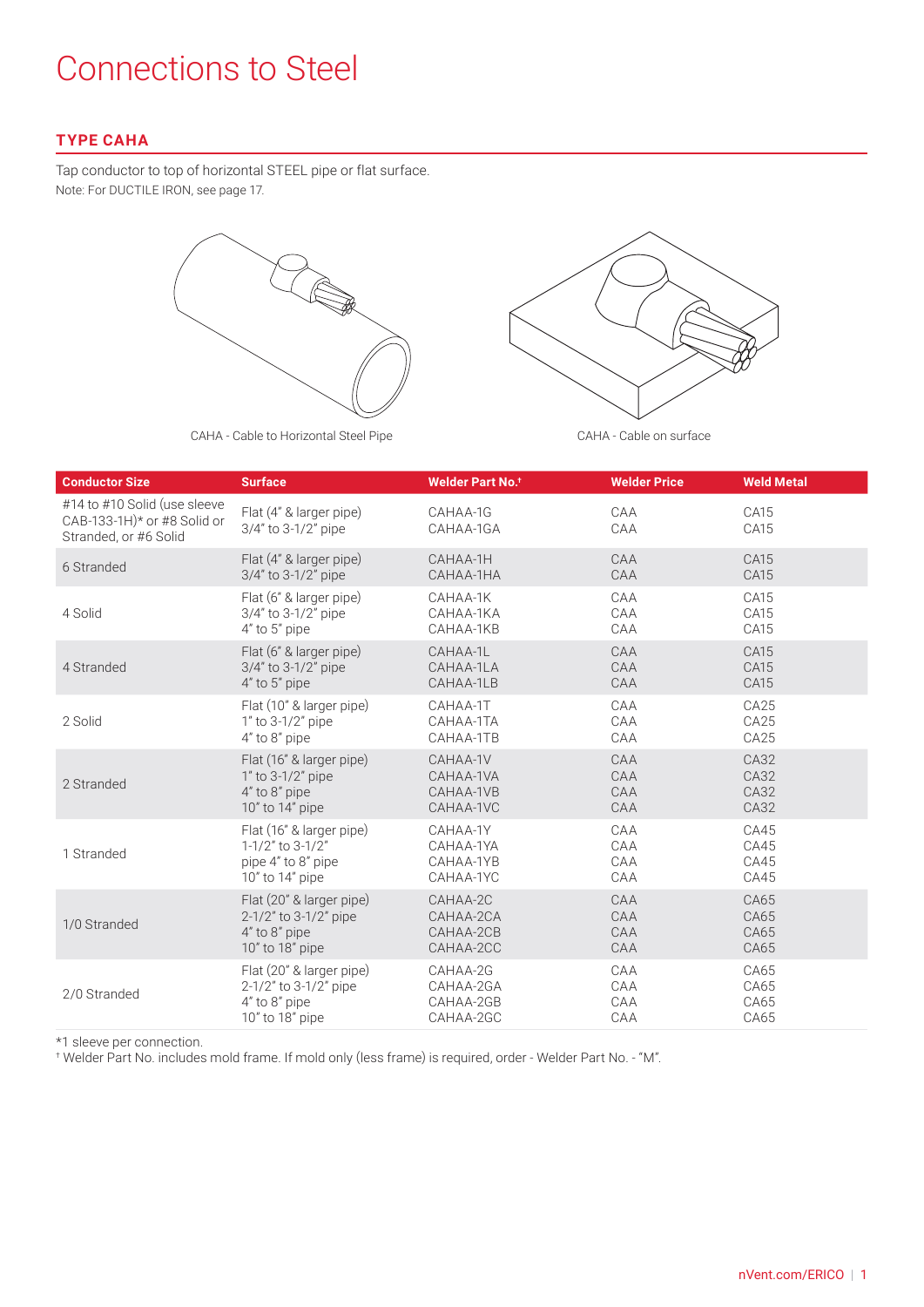### Connections to Steel

#### **TYPE CAHA**

Tap conductor to top of horizontal STEEL pipe or flat surface. Note: For DUCTILE IRON, see page 17.



CAHA - Cable to Horizontal Steel Pipe CAHA - Cable on surface



| <b>Conductor Size</b>                                                                  | <b>Surface</b>                                     | <b>Welder Part No.<sup>+</sup></b> | <b>Welder Price</b> | <b>Weld Metal</b> |
|----------------------------------------------------------------------------------------|----------------------------------------------------|------------------------------------|---------------------|-------------------|
| #14 to #10 Solid (use sleeve<br>CAB-133-1H $*$ or #8 Solid or<br>Stranded, or #6 Solid | Flat (4" & larger pipe)<br>$3/4"$ to $3-1/2"$ pipe | CAHAA-1G<br>CAHAA-1GA              | CAA<br>CAA          | CA15<br>CA15      |
| 6 Stranded                                                                             | Flat (4" & larger pipe)                            | CAHAA-1H                           | CAA                 | CA15              |
|                                                                                        | 3/4" to 3-1/2" pipe                                | CAHAA-1HA                          | CAA                 | CA15              |
| 4 Solid                                                                                | Flat (6" & larger pipe)                            | CAHAA-1K                           | CAA                 | CA15              |
|                                                                                        | 3/4" to 3-1/2" pipe                                | CAHAA-1KA                          | CAA                 | CA15              |
|                                                                                        | $4"$ to $5"$ pipe                                  | CAHAA-1KB                          | CAA                 | CA15              |
| 4 Stranded                                                                             | Flat (6" & larger pipe)                            | CAHAA-1L                           | CAA                 | CA15              |
|                                                                                        | 3/4" to 3-1/2" pipe                                | CAHAA-1LA                          | CAA                 | CA15              |
|                                                                                        | $4"$ to $5"$ pipe                                  | CAHAA-1LB                          | CAA                 | CA15              |
| 2 Solid                                                                                | Flat (10" & larger pipe)                           | CAHAA-1T                           | CAA                 | CA25              |
|                                                                                        | 1" to 3-1/2" pipe                                  | CAHAA-1TA                          | CAA                 | CA25              |
|                                                                                        | $4"$ to $8"$ pipe                                  | CAHAA-1TB                          | CAA                 | CA25              |
| 2 Stranded                                                                             | Flat (16" & larger pipe)                           | CAHAA-1V                           | CAA                 | CA32              |
|                                                                                        | 1" to 3-1/2" pipe                                  | CAHAA-1VA                          | CAA                 | CA32              |
|                                                                                        | 4" to 8" pipe                                      | CAHAA-1VB                          | CAA                 | CA32              |
|                                                                                        | 10" to 14" pipe                                    | CAHAA-1VC                          | CAA                 | CA32              |
| 1 Stranded                                                                             | Flat (16" & larger pipe)                           | CAHAA-1Y                           | CAA                 | CA45              |
|                                                                                        | 1-1/2" to 3-1/2"                                   | CAHAA-1YA                          | CAA                 | CA45              |
|                                                                                        | pipe 4" to 8" pipe                                 | CAHAA-1YB                          | CAA                 | CA45              |
|                                                                                        | 10" to 14" pipe                                    | CAHAA-1YC                          | CAA                 | CA45              |
| 1/0 Stranded                                                                           | Flat (20" & larger pipe)                           | CAHAA-2C                           | CAA                 | CA65              |
|                                                                                        | 2-1/2" to 3-1/2" pipe                              | CAHAA-2CA                          | CAA                 | CA65              |
|                                                                                        | $4"$ to $8"$ pipe                                  | CAHAA-2CB                          | CAA                 | CA65              |
|                                                                                        | 10" to 18" pipe                                    | CAHAA-2CC                          | CAA                 | CA65              |
| 2/0 Stranded                                                                           | Flat (20" & larger pipe)                           | CAHAA-2G                           | CAA                 | CA65              |
|                                                                                        | 2-1/2" to 3-1/2" pipe                              | CAHAA-2GA                          | CAA                 | CA65              |
|                                                                                        | 4" to 8" pipe                                      | CAHAA-2GB                          | CAA                 | CA65              |
|                                                                                        | 10" to 18" pipe                                    | CAHAA-2GC                          | CAA                 | CA65              |

\*1 sleeve per connection.

† Welder Part No. includes mold frame. If mold only (less frame) is required, order - Welder Part No. - "M".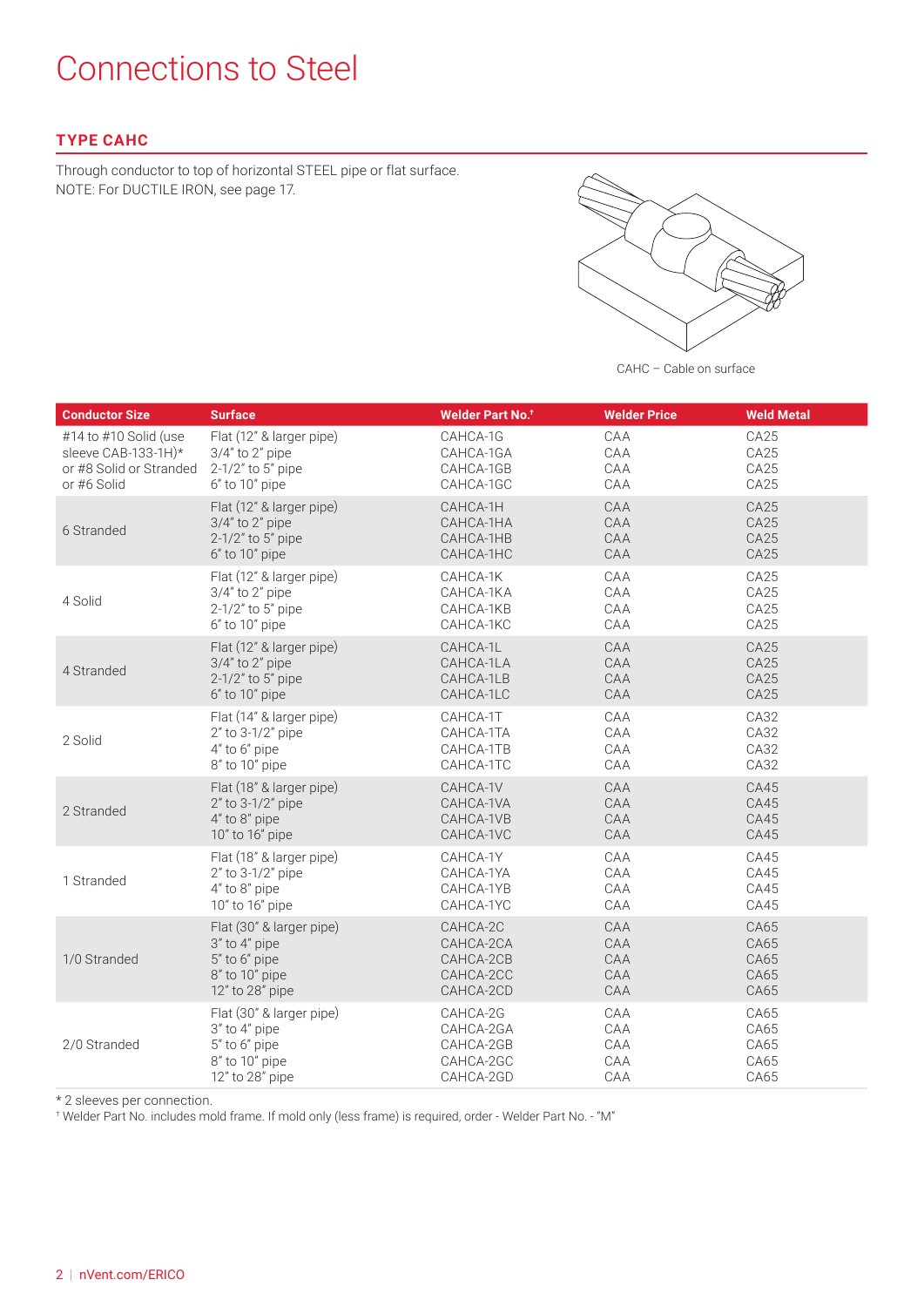### Connections to Steel

#### **TYPE CAHC**

Through conductor to top of horizontal STEEL pipe or flat surface. NOTE: For DUCTILE IRON, see page 17.



CAHC – Cable on surface

| <b>Conductor Size</b>   | <b>Surface</b>           | <b>Welder Part No.<sup>+</sup></b> | <b>Welder Price</b> | <b>Weld Metal</b> |
|-------------------------|--------------------------|------------------------------------|---------------------|-------------------|
| #14 to #10 Solid (use   | Flat (12" & larger pipe) | CAHCA-1G                           | CAA                 | CA25              |
| sleeve CAB-133-1H)*     | $3/4"$ to $2"$ pipe      | CAHCA-1GA                          | CAA                 | CA25              |
| or #8 Solid or Stranded | 2-1/2" to 5" pipe        | CAHCA-1GB                          | CAA                 | CA25              |
| or #6 Solid             | 6" to 10" pipe           | CAHCA-1GC                          | CAA                 | CA25              |
| 6 Stranded              | Flat (12" & larger pipe) | CAHCA-1H                           | CAA                 | CA25              |
|                         | $3/4"$ to $2"$ pipe      | CAHCA-1HA                          | CAA                 | CA25              |
|                         | 2-1/2" to 5" pipe        | CAHCA-1HB                          | CAA                 | CA25              |
|                         | $6"$ to $10"$ pipe       | CAHCA-1HC                          | CAA                 | CA25              |
| 4 Solid                 | Flat (12" & larger pipe) | CAHCA-1K                           | CAA                 | CA25              |
|                         | $3/4$ " to $2$ " pipe    | CAHCA-1KA                          | CAA                 | CA25              |
|                         | $2-1/2$ " to 5" pipe     | CAHCA-1KB                          | CAA                 | CA25              |
|                         | $6"$ to $10"$ pipe       | CAHCA-1KC                          | CAA                 | CA25              |
| 4 Stranded              | Flat (12" & larger pipe) | CAHCA-1L                           | CAA                 | CA25              |
|                         | $3/4"$ to $2"$ pipe      | CAHCA-1LA                          | CAA                 | CA25              |
|                         | $2-1/2$ " to 5" pipe     | CAHCA-1LB                          | CAA                 | CA25              |
|                         | $6"$ to $10"$ pipe       | CAHCA-1LC                          | CAA                 | CA25              |
| 2 Solid                 | Flat (14" & larger pipe) | CAHCA-1T                           | CAA                 | CA32              |
|                         | $2"$ to $3-1/2"$ pipe    | CAHCA-1TA                          | CAA                 | CA32              |
|                         | 4" to 6" pipe            | CAHCA-1TB                          | CAA                 | CA32              |
|                         | 8" to 10" pipe           | CAHCA-1TC                          | CAA                 | CA32              |
| 2 Stranded              | Flat (18" & larger pipe) | CAHCA-1V                           | CAA                 | CA45              |
|                         | 2" to 3-1/2" pipe        | CAHCA-1VA                          | CAA                 | CA45              |
|                         | 4" to 8" pipe            | CAHCA-1VB                          | CAA                 | CA45              |
|                         | 10" to 16" pipe          | CAHCA-1VC                          | CAA                 | CA45              |
| 1 Stranded              | Flat (18" & larger pipe) | CAHCA-1Y                           | CAA                 | CA45              |
|                         | 2" to 3-1/2" pipe        | CAHCA-1YA                          | CAA                 | CA45              |
|                         | 4" to 8" pipe            | CAHCA-1YB                          | CAA                 | CA45              |
|                         | 10" to 16" pipe          | CAHCA-1YC                          | CAA                 | CA45              |
| 1/0 Stranded            | Flat (30" & larger pipe) | CAHCA-2C                           | CAA                 | CA65              |
|                         | 3" to 4" pipe            | CAHCA-2CA                          | CAA                 | CA65              |
|                         | 5" to 6" pipe            | CAHCA-2CB                          | CAA                 | CA65              |
|                         | 8" to 10" pipe           | CAHCA-2CC                          | CAA                 | CA65              |
|                         | 12" to 28" pipe          | CAHCA-2CD                          | CAA                 | CA65              |
| 2/0 Stranded            | Flat (30" & larger pipe) | CAHCA-2G                           | CAA                 | CA65              |
|                         | 3" to 4" pipe            | CAHCA-2GA                          | CAA                 | CA65              |
|                         | 5" to 6" pipe            | CAHCA-2GB                          | CAA                 | CA65              |
|                         | 8" to 10" pipe           | CAHCA-2GC                          | CAA                 | CA65              |
|                         | 12" to 28" pipe          | CAHCA-2GD                          | CAA                 | CA65              |

\* 2 sleeves per connection.

† Welder Part No. includes mold frame. If mold only (less frame) is required, order - Welder Part No. - "M"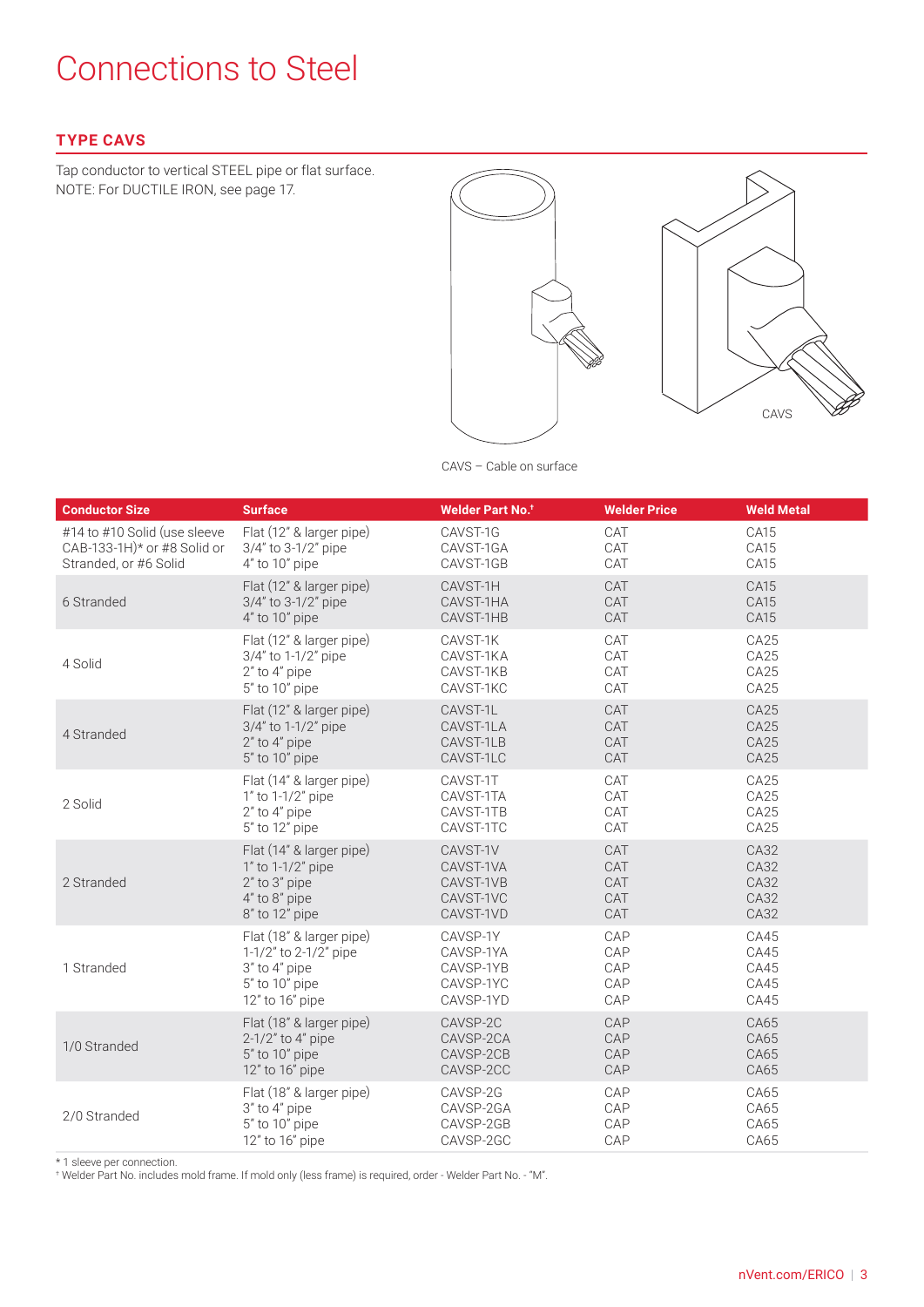### Connections to Steel

#### **TYPE CAVS**

Tap conductor to vertical STEEL pipe or flat surface. NOTE: For DUCTILE IRON, see page 17.



CAVS – Cable on surface

| <b>Conductor Size</b>         | <b>Surface</b>            | <b>Welder Part No.<sup>+</sup></b> | <b>Welder Price</b> | <b>Weld Metal</b> |
|-------------------------------|---------------------------|------------------------------------|---------------------|-------------------|
| #14 to #10 Solid (use sleeve  | Flat (12" & larger pipe)  | CAVST-1G                           | CAT                 | CA15              |
| CAB-133-1H $*$ or #8 Solid or | $3/4$ " to $3-1/2$ " pipe | CAVST-1GA                          | CAT                 | CA15              |
| Stranded, or #6 Solid         | $4"$ to $10"$ pipe        | CAVST-1GB                          | CAT                 | CA15              |
| 6 Stranded                    | Flat (12" & larger pipe)  | CAVST-1H                           | CAT                 | CA15              |
|                               | 3/4" to 3-1/2" pipe       | CAVST-1HA                          | CAT                 | CA15              |
|                               | $4"$ to $10"$ pipe        | CAVST-1HB                          | CAT                 | CA15              |
| 4 Solid                       | Flat (12" & larger pipe)  | CAVST-1K                           | CAT                 | CA25              |
|                               | $3/4"$ to 1-1/2" pipe     | CAVST-1KA                          | CAT                 | CA25              |
|                               | $2"$ to $4"$ pipe         | CAVST-1KB                          | CAT                 | CA25              |
|                               | 5" to 10" pipe            | CAVST-1KC                          | CAT                 | CA25              |
| 4 Stranded                    | Flat (12" & larger pipe)  | CAVST-1L                           | CAT                 | CA25              |
|                               | $3/4$ " to 1-1/2" pipe    | CAVST-1LA                          | CAT                 | CA25              |
|                               | $2"$ to $4"$ pipe         | CAVST-1LB                          | CAT                 | CA25              |
|                               | 5" to 10" pipe            | CAVST-1LC                          | CAT                 | CA25              |
| 2 Solid                       | Flat (14" & larger pipe)  | CAVST-1T                           | CAT                 | CA25              |
|                               | 1" to 1-1/2" pipe         | CAVST-1TA                          | CAT                 | CA25              |
|                               | $2"$ to $4"$ pipe         | CAVST-1TB                          | CAT                 | CA25              |
|                               | 5" to 12" pipe            | CAVST-1TC                          | CAT                 | CA25              |
| 2 Stranded                    | Flat (14" & larger pipe)  | CAVST-1V                           | CAT                 | CA32              |
|                               | 1" to 1-1/2" pipe         | CAVST-1VA                          | CAT                 | CA32              |
|                               | $2"$ to $3"$ pipe         | CAVST-1VB                          | CAT                 | CA32              |
|                               | 4" to 8" pipe             | CAVST-1VC                          | CAT                 | CA32              |
|                               | 8" to 12" pipe            | CAVST-1VD                          | CAT                 | CA32              |
| 1 Stranded                    | Flat (18" & larger pipe)  | CAVSP-1Y                           | CAP                 | CA45              |
|                               | 1-1/2" to 2-1/2" pipe     | CAVSP-1YA                          | CAP                 | CA45              |
|                               | 3" to 4" pipe             | CAVSP-1YB                          | CAP                 | CA45              |
|                               | 5" to 10" pipe            | CAVSP-1YC                          | CAP                 | CA45              |
|                               | 12" to 16" pipe           | CAVSP-1YD                          | CAP                 | CA45              |
| 1/0 Stranded                  | Flat (18" & larger pipe)  | CAVSP-2C                           | CAP                 | CA65              |
|                               | $2-1/2$ " to 4" pipe      | CAVSP-2CA                          | CAP                 | CA65              |
|                               | 5" to 10" pipe            | CAVSP-2CB                          | CAP                 | CA65              |
|                               | 12" to 16" pipe           | CAVSP-2CC                          | CAP                 | CA65              |
| 2/0 Stranded                  | Flat (18" & larger pipe)  | CAVSP-2G                           | CAP                 | CA65              |
|                               | 3" to 4" pipe             | CAVSP-2GA                          | CAP                 | CA65              |
|                               | 5" to 10" pipe            | CAVSP-2GB                          | CAP                 | CA65              |
|                               | 12" to 16" pipe           | CAVSP-2GC                          | CAP                 | CA65              |

\* 1 sleeve per connection. † Welder Part No. includes mold frame. If mold only (less frame) is required, order - Welder Part No. - "M".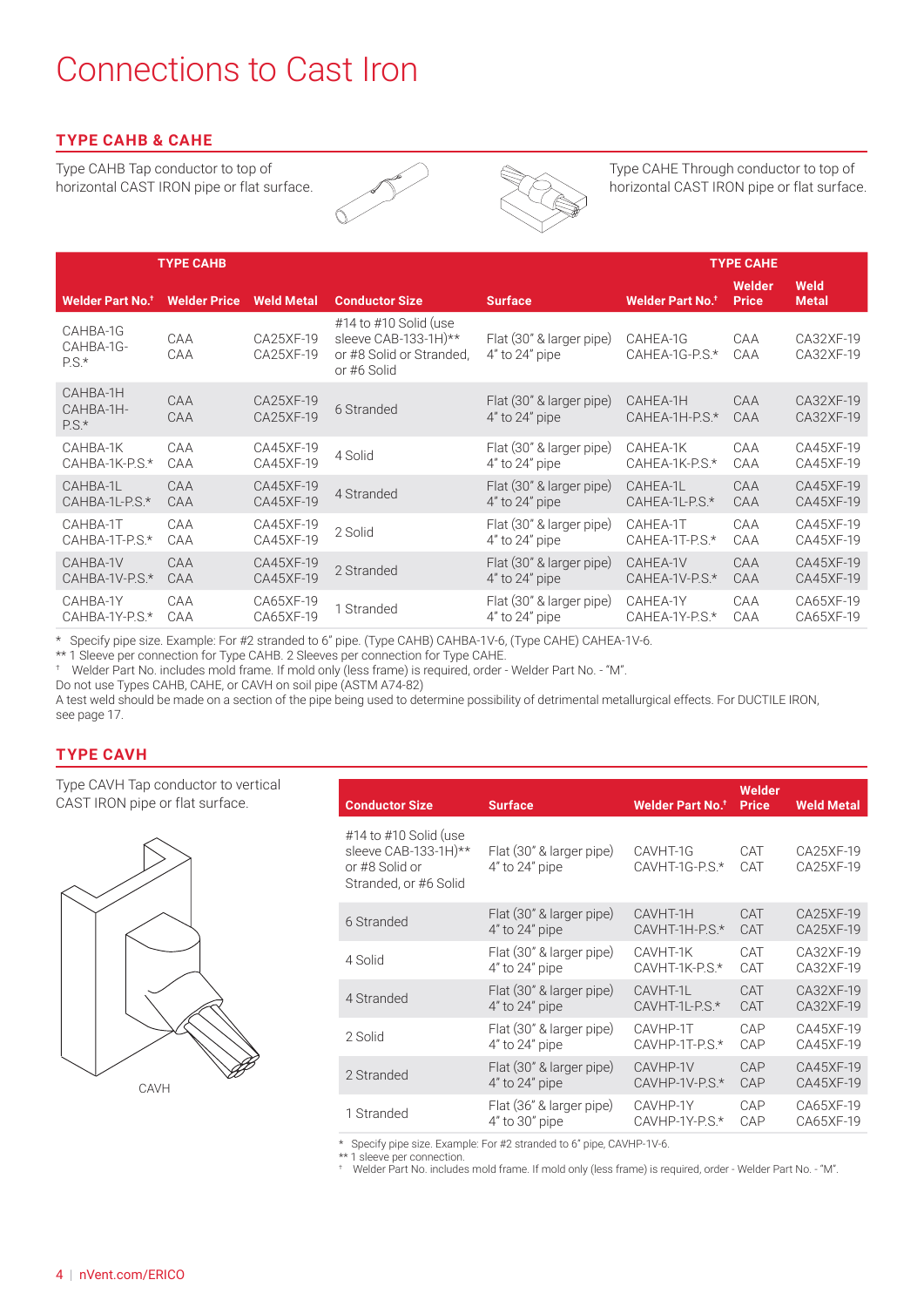### Connections to Cast Iron

#### **TYPE CAHB & CAHE**

Type CAHB Tap conductor to top of horizontal CAST IRON pipe or flat surface.





Type CAHE Through conductor to top of horizontal CAST IRON pipe or flat surface.

| <b>TYPE CAHB</b>                    |                     |                        |                                                                                          |                                                | <b>TYPE CAHE</b>                   |                        |                        |
|-------------------------------------|---------------------|------------------------|------------------------------------------------------------------------------------------|------------------------------------------------|------------------------------------|------------------------|------------------------|
| <b>Welder Part No.</b> <sup>+</sup> | <b>Welder Price</b> | <b>Weld Metal</b>      | <b>Conductor Size</b>                                                                    | <b>Surface</b>                                 | <b>Welder Part No.<sup>+</sup></b> | Welder<br><b>Price</b> | Weld<br><b>Metal</b>   |
| CAHBA-1G<br>CAHBA-1G-<br>$PS.*$     | CAA<br>CAA          | CA25XF-19<br>CA25XF-19 | #14 to #10 Solid (use<br>sleeve CAB-133-1H)**<br>or #8 Solid or Stranded.<br>or #6 Solid | Flat (30" & larger pipe)<br>$4"$ to $24"$ pipe | CAHEA-1G<br>CAHEA-1G-P.S.*         | CAA<br>CAA             | CA32XF-19<br>CA32XF-19 |
| CAHBA-1H<br>CAHBA-1H-<br>$PS.*$     | CAA<br>CAA          | CA25XF-19<br>CA25XF-19 | 6 Stranded                                                                               | Flat (30" & larger pipe)<br>$4"$ to $24"$ pipe | CAHEA-1H<br>$CAHEA-1H-P.S.*$       | CAA<br>CAA             | CA32XF-19<br>CA32XF-19 |
| CAHBA-1K                            | CAA                 | CA45XF-19              | 4 Solid                                                                                  | Flat (30" & larger pipe)                       | CAHEA-1K                           | CAA                    | CA45XF-19              |
| $CAHBA-1K-PS*$                      | CAA                 | CA45XF-19              |                                                                                          | $4"$ to $24"$ pipe                             | $CAHEA-1K-P.S.*$                   | CAA                    | CA45XF-19              |
| CAHBA-1L                            | CAA                 | CA45XF-19              | 4 Stranded                                                                               | Flat (30" & larger pipe)                       | CAHEA-1L                           | CAA                    | CA45XF-19              |
| $CAHBA-1L-P.S.*$                    | CAA                 | CA45XF-19              |                                                                                          | $4"$ to $24"$ pipe                             | $CAHEA-1L-P.S.*$                   | CAA                    | CA45XF-19              |
| CAHBA-1T                            | CAA                 | CA45XF-19              | 2 Solid                                                                                  | Flat (30" & larger pipe)                       | CAHEA-1T                           | CAA                    | CA45XF-19              |
| CAHBA-1T-P.S.*                      | CAA                 | CA45XF-19              |                                                                                          | $4"$ to $24"$ pipe                             | CAHEA-1T-P.S.*                     | CAA                    | CA45XF-19              |
| CAHBA-1V                            | CAA                 | CA45XF-19              | 2 Stranded                                                                               | Flat (30" & larger pipe)                       | CAHEA-1V                           | CAA                    | CA45XF-19              |
| $CAHBA-1V-PS.*$                     | CAA                 | CA45XF-19              |                                                                                          | 4" to 24" pipe                                 | $CAHEA-1V-P.S.*$                   | CAA                    | CA45XF-19              |
| CAHBA-1Y                            | CAA                 | CA65XF-19              | 1 Stranded                                                                               | Flat (30" & larger pipe)                       | CAHEA-1Y                           | CAA                    | CA65XF-19              |
| $CAHBA-1Y-P.S.*$                    | CAA                 | CA65XF-19              |                                                                                          | $4"$ to $24"$ pipe                             | $CAHEA-1Y-P.S.*$                   | CAA                    | CA65XF-19              |

\* Specify pipe size. Example: For #2 stranded to 6" pipe. (Type CAHB) CAHBA-1V-6, (Type CAHE) CAHEA-1V-6.

\*\* 1 Sleeve per connection for Type CAHB. 2 Sleeves per connection for Type CAHE.

† Welder Part No. includes mold frame. If mold only (less frame) is required, order - Welder Part No. - "M".

Do not use Types CAHB, CAHE, or CAVH on soil pipe (ASTM A74-82)

A test weld should be made on a section of the pipe being used to determine possibility of detrimental metallurgical effects. For DUCTILE IRON, see page 17.

#### **TYPE CAVH**

Type CAVH Tap conductor to vertical **CAST IRON pipe or flat surface.** 



| <b>Conductor Size</b>                                                                    | <b>Surface</b>                                 | <b>Welder Part No.<sup>+</sup></b> | Welder<br><b>Price</b> | <b>Weld Metal</b>      |
|------------------------------------------------------------------------------------------|------------------------------------------------|------------------------------------|------------------------|------------------------|
| #14 to #10 Solid (use<br>sleeve CAB-133-1H)**<br>or #8 Solid or<br>Stranded, or #6 Solid | Flat (30" & larger pipe)<br>$4"$ to $24"$ pipe | CAVHT-1G<br>CAVHT-1G-P.S.*         | CAT<br>CAT             | CA25XF-19<br>CA25XF-19 |
| 6 Stranded                                                                               | Flat (30" & larger pipe)                       | CAVHT-1H                           | CAT                    | CA25XF-19              |
|                                                                                          | $4"$ to $24"$ pipe                             | CAVHT-1H-P.S.*                     | CAT                    | CA25XF-19              |
| 4 Solid                                                                                  | Flat (30" & larger pipe)                       | CAVHT-1K                           | CAT                    | CA32XF-19              |
|                                                                                          | $4"$ to $24"$ pipe                             | $CAVHT-1K-PS.*$                    | CAT                    | CA32XF-19              |
| 4 Stranded                                                                               | Flat (30" & larger pipe)                       | CAVHT-1L                           | CAT                    | CA32XF-19              |
|                                                                                          | $4"$ to $24"$ pipe                             | $CAVHT-1L-P.S.*$                   | CAT                    | CA32XF-19              |
| 2 Solid                                                                                  | Flat (30" & larger pipe)                       | CAVHP-1T                           | CAP                    | CA45XF-19              |
|                                                                                          | $4"$ to $24"$ pipe                             | CAVHP-1T-P.S.*                     | CAP                    | CA45XF-19              |
| 2 Stranded                                                                               | Flat (30" & larger pipe)                       | CAVHP-1V                           | CAP                    | CA45XF-19              |
|                                                                                          | $4"$ to $24"$ pipe                             | CAVHP-1V-P.S.*                     | CAP                    | CA45XF-19              |
| 1 Stranded                                                                               | Flat (36" & larger pipe)                       | CAVHP-1Y                           | CAP                    | CA65XF-19              |
|                                                                                          | $4"$ to $30"$ pipe                             | CAVHP-1Y-P.S.*                     | CAP                    | CA65XF-19              |

\* Specify pipe size. Example: For #2 stranded to 6" pipe, CAVHP-1V-6.

\*\* 1 sleeve per connection.

† Welder Part No. includes mold frame. If mold only (less frame) is required, order - Welder Part No. - "M".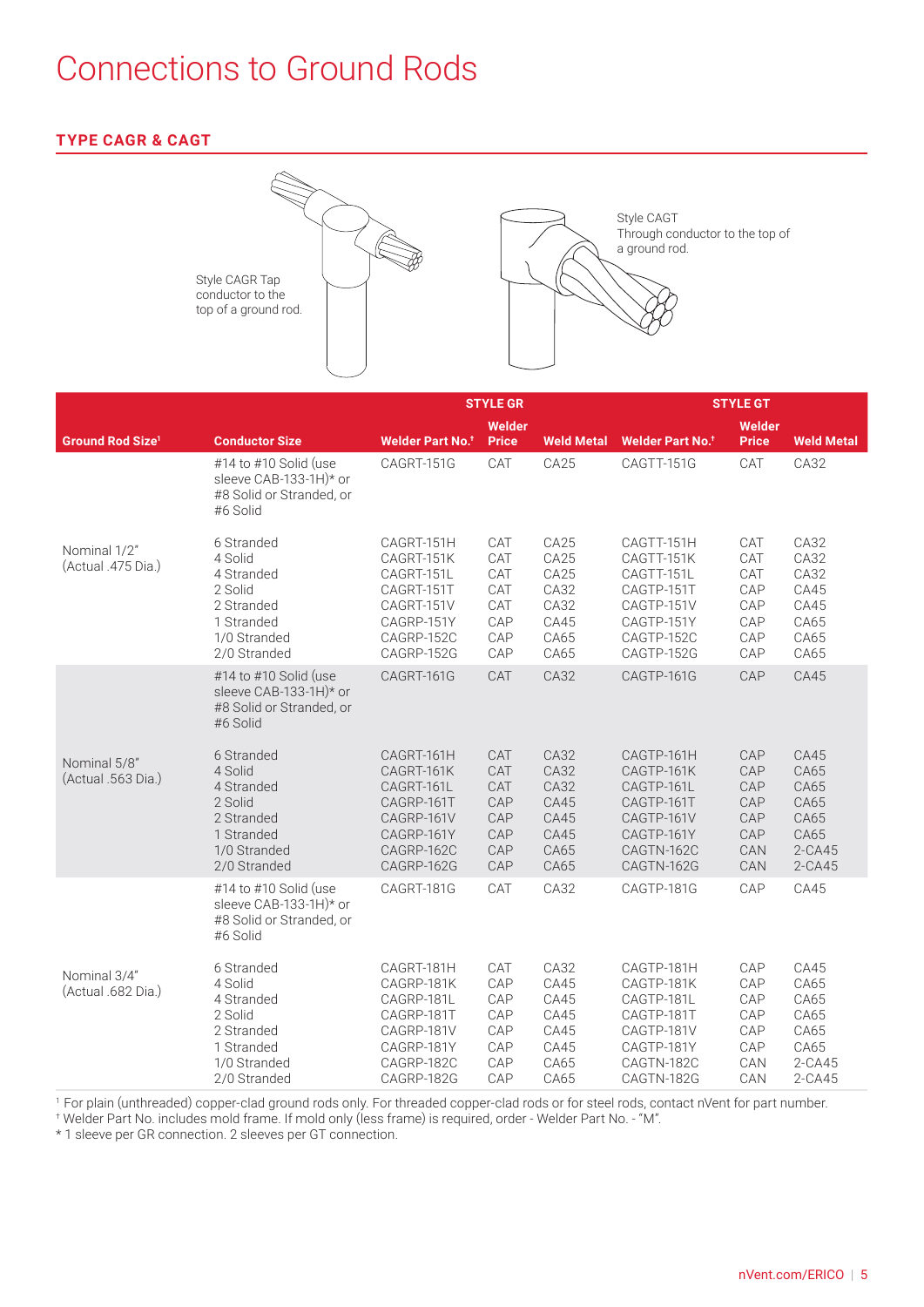### Connections to Ground Rods

#### **TYPE CAGR & CAGT**



|                                    |                                                                                                            | <b>STYLE GR</b>                                                                                              |                                                      |                                                              | <b>STYLE GT</b>                                                                                              |                                                             |                                                                      |
|------------------------------------|------------------------------------------------------------------------------------------------------------|--------------------------------------------------------------------------------------------------------------|------------------------------------------------------|--------------------------------------------------------------|--------------------------------------------------------------------------------------------------------------|-------------------------------------------------------------|----------------------------------------------------------------------|
| <b>Ground Rod Size<sup>1</sup></b> | <b>Conductor Size</b>                                                                                      | <b>Welder Part No.</b> <sup>+</sup>                                                                          | Welder<br><b>Price</b>                               | <b>Weld Metal</b>                                            | <b>Welder Part No.<sup>+</sup></b>                                                                           | Welder<br><b>Price</b>                                      | <b>Weld Metal</b>                                                    |
|                                    | #14 to #10 Solid (use<br>sleeve CAB-133-1H)* or<br>#8 Solid or Stranded, or<br>#6 Solid                    | CAGRT-151G                                                                                                   | CAT                                                  | CA25                                                         | CAGTT-151G                                                                                                   | CAT                                                         | CA32                                                                 |
| Nominal 1/2"<br>(Actual .475 Dia.) | 6 Stranded<br>4 Solid<br>4 Stranded<br>2 Solid<br>2 Stranded<br>1 Stranded<br>1/0 Stranded<br>2/0 Stranded | CAGRT-151H<br>CAGRT-151K<br>CAGRT-151L<br>CAGRT-151T<br>CAGRT-151V<br>CAGRP-151Y<br>CAGRP-152C<br>CAGRP-152G | CAT<br>CAT<br>CAT<br>CAT<br>CAT<br>CAP<br>CAP<br>CAP | CA25<br>CA25<br>CA25<br>CA32<br>CA32<br>CA45<br>CA65<br>CA65 | CAGTT-151H<br>CAGTT-151K<br>CAGTT-151L<br>CAGTP-151T<br>CAGTP-151V<br>CAGTP-151Y<br>CAGTP-152C<br>CAGTP-152G | <b>CAT</b><br>CAT<br>CAT<br>CAP<br>CAP<br>CAP<br>CAP<br>CAP | CA32<br>CA32<br>CA32<br>CA45<br>CA45<br>CA65<br>CA65<br>CA65         |
|                                    | #14 to #10 Solid (use<br>sleeve CAB-133-1H)* or<br>#8 Solid or Stranded, or<br>#6 Solid                    | CAGRT-161G                                                                                                   | CAT                                                  | CA32                                                         | CAGTP-161G                                                                                                   | CAP                                                         | CA45                                                                 |
| Nominal 5/8"<br>(Actual .563 Dia.) | 6 Stranded<br>4 Solid<br>4 Stranded<br>2 Solid<br>2 Stranded<br>1 Stranded<br>1/0 Stranded<br>2/0 Stranded | CAGRT-161H<br>CAGRT-161K<br>CAGRT-161L<br>CAGRP-161T<br>CAGRP-161V<br>CAGRP-161Y<br>CAGRP-162C<br>CAGRP-162G | CAT<br>CAT<br>CAT<br>CAP<br>CAP<br>CAP<br>CAP<br>CAP | CA32<br>CA32<br>CA32<br>CA45<br>CA45<br>CA45<br>CA65<br>CA65 | CAGTP-161H<br>CAGTP-161K<br>CAGTP-161L<br>CAGTP-161T<br>CAGTP-161V<br>CAGTP-161Y<br>CAGTN-162C<br>CAGTN-162G | CAP<br>CAP<br>CAP<br>CAP<br>CAP<br>CAP<br>CAN<br>CAN        | CA45<br>CA65<br>CA65<br>CA65<br>CA65<br>CA65<br>$2-CA45$<br>$2-CA45$ |
|                                    | #14 to #10 Solid (use<br>sleeve CAB-133-1H $)*$ or<br>#8 Solid or Stranded, or<br>#6 Solid                 | CAGRT-181G                                                                                                   | CAT                                                  | CA32                                                         | CAGTP-181G                                                                                                   | CAP                                                         | CA45                                                                 |
| Nominal 3/4"<br>(Actual .682 Dia.) | 6 Stranded<br>4 Solid<br>4 Stranded<br>2 Solid<br>2 Stranded<br>1 Stranded<br>1/0 Stranded<br>2/0 Stranded | CAGRT-181H<br>CAGRP-181K<br>CAGRP-181L<br>CAGRP-181T<br>CAGRP-181V<br>CAGRP-181Y<br>CAGRP-182C<br>CAGRP-182G | CAT<br>CAP<br>CAP<br>CAP<br>CAP<br>CAP<br>CAP<br>CAP | CA32<br>CA45<br>CA45<br>CA45<br>CA45<br>CA45<br>CA65<br>CA65 | CAGTP-181H<br>CAGTP-181K<br>CAGTP-181L<br>CAGTP-181T<br>CAGTP-181V<br>CAGTP-181Y<br>CAGTN-182C<br>CAGTN-182G | CAP<br>CAP<br>CAP<br>CAP<br>CAP<br>CAP<br>CAN<br>CAN        | CA45<br>CA65<br>CA65<br>CA65<br>CA65<br>CA65<br>2-CA45<br>2-CA45     |

1 For plain (unthreaded) copper-clad ground rods only. For threaded copper-clad rods or for steel rods, contact nVent for part number.<br>† Welder Part No. includes mold frame. If mold only (less frame) is required, order - W

\* 1 sleeve per GR connection. 2 sleeves per GT connection.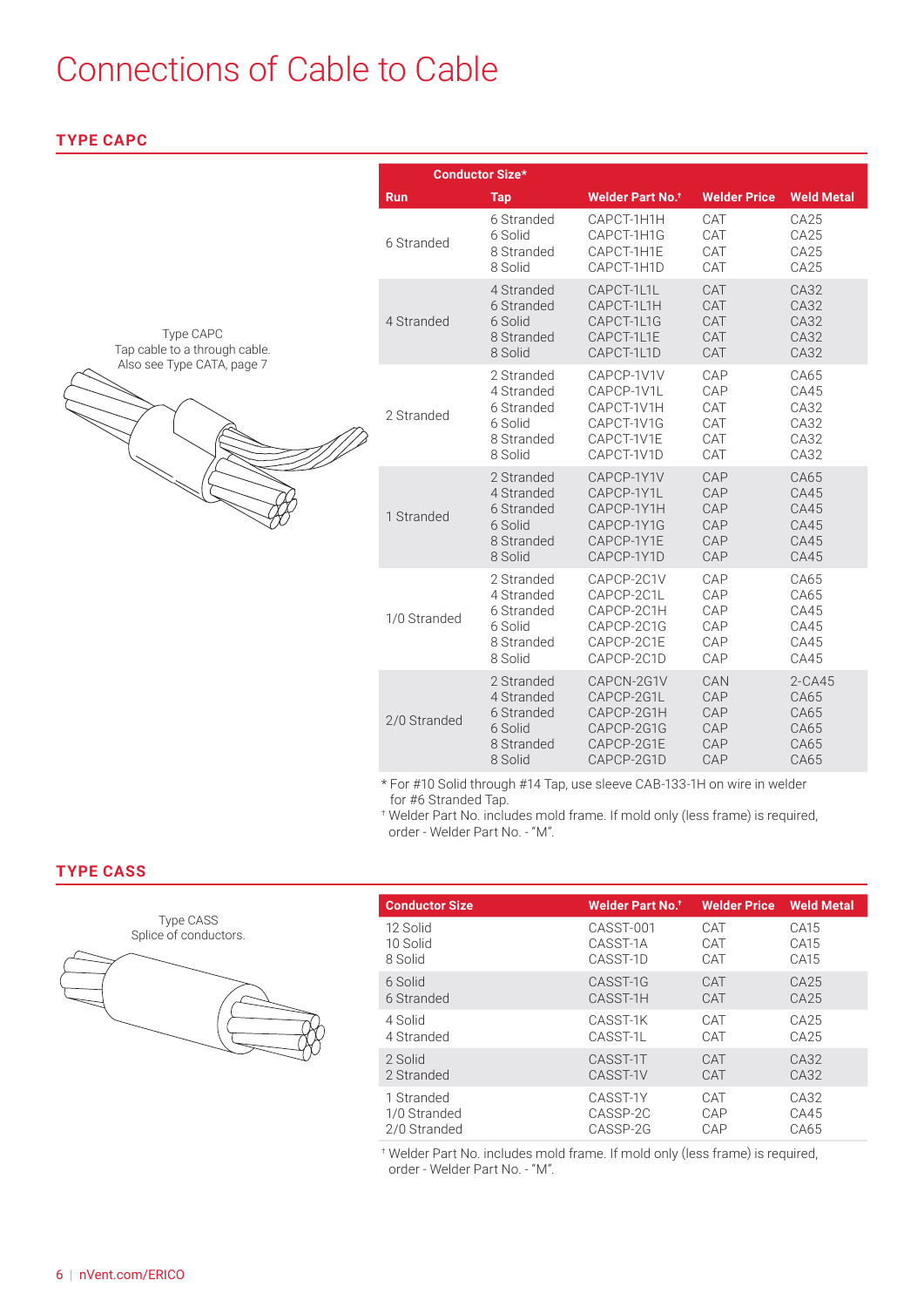### Connections of Cable to Cable

**TYPE CAPC**

|                                                                          | <b>Conductor Size*</b> |                                                                            |                                                                                  |                                        |                                                |
|--------------------------------------------------------------------------|------------------------|----------------------------------------------------------------------------|----------------------------------------------------------------------------------|----------------------------------------|------------------------------------------------|
|                                                                          | <b>Run</b>             | <b>Tap</b>                                                                 | <b>Welder Part No.<sup>+</sup></b>                                               | <b>Welder Price</b>                    | <b>Weld Metal</b>                              |
| Type CAPC<br>Tap cable to a through cable.<br>Also see Type CATA, page 7 | 6 Stranded             | 6 Stranded<br>6 Solid<br>8 Stranded<br>8 Solid                             | CAPCT-1H1H<br>CAPCT-1H1G<br>CAPCT-1H1E<br>CAPCT-1H1D                             | CAT<br>CAT<br>CAT<br>CAT               | CA25<br>CA25<br>CA25<br>CA25                   |
|                                                                          | 4 Stranded             | 4 Stranded<br>6 Stranded<br>6 Solid<br>8 Stranded<br>8 Solid               | CAPCT-1L1L<br>CAPCT-1L1H<br>CAPCT-1L1G<br>CAPCT-1L1E<br>CAPCT-1L1D               | CAT<br>CAT<br>CAT<br>CAT<br>CAT        | CA32<br>CA32<br>CA32<br>CA32<br>CA32           |
|                                                                          | 2 Stranded             | 2 Stranded<br>4 Stranded<br>6 Stranded<br>6 Solid<br>8 Stranded<br>8 Solid | CAPCP-1V1V<br>CAPCP-1V1L<br>CAPCT-1V1H<br>CAPCT-1V1G<br>CAPCT-1V1E<br>CAPCT-1V1D | CAP<br>CAP<br>CAT<br>CAT<br>CAT<br>CAT | CA65<br>CA45<br>CA32<br>CA32<br>CA32<br>CA32   |
|                                                                          | 1 Stranded             | 2 Stranded<br>4 Stranded<br>6 Stranded<br>6 Solid<br>8 Stranded<br>8 Solid | CAPCP-1Y1V<br>CAPCP-1Y1L<br>CAPCP-1Y1H<br>CAPCP-1Y1G<br>CAPCP-1Y1E<br>CAPCP-1Y1D | CAP<br>CAP<br>CAP<br>CAP<br>CAP<br>CAP | CA65<br>CA45<br>CA45<br>CA45<br>CA45<br>CA45   |
|                                                                          | 1/0 Stranded           | 2 Stranded<br>4 Stranded<br>6 Stranded<br>6 Solid<br>8 Stranded<br>8 Solid | CAPCP-2C1V<br>CAPCP-2C1L<br>CAPCP-2C1H<br>CAPCP-2C1G<br>CAPCP-2C1E<br>CAPCP-2C1D | CAP<br>CAP<br>CAP<br>CAP<br>CAP<br>CAP | CA65<br>CA65<br>CA45<br>CA45<br>CA45<br>CA45   |
|                                                                          | 2/0 Stranded           | 2 Stranded<br>4 Stranded<br>6 Stranded<br>6 Solid<br>8 Stranded<br>8 Solid | CAPCN-2G1V<br>CAPCP-2G1L<br>CAPCP-2G1H<br>CAPCP-2G1G<br>CAPCP-2G1E<br>CAPCP-2G1D | CAN<br>CAP<br>CAP<br>CAP<br>CAP<br>CAP | 2-CA45<br>CA65<br>CA65<br>CA65<br>CA65<br>CA65 |

\* For #10 Solid through #14 Tap, use sleeve CAB-133-1H on wire in welder for #6 Stranded Tap.

† Welder Part No. includes mold frame. If mold only (less frame) is required, order - Welder Part No. - "M".

#### **TYPE CASS**



| <b>Conductor Size</b> | <b>Welder Part No.<sup>+</sup></b> | <b>Welder Price</b> | <b>Weld Metal</b> |
|-----------------------|------------------------------------|---------------------|-------------------|
| 12 Solid              | CASST-001                          | CAT                 | CA15              |
| 10 Solid              | CASST-1A                           | CAT                 | CA15              |
| 8 Solid               | CASST-1D                           | CAT                 | CA15              |
| 6 Solid               | CASST-1G                           | CAT                 | CA25              |
| 6 Stranded            | CASST-1H                           | CAT                 | CA25              |
| 4 Solid               | CASST-1K                           | CAT                 | CA25              |
| 4 Stranded            | CASST-1L                           | CAT                 | CA25              |
| 2 Solid               | CASST-1T                           | CAT                 | CA32              |
| 2 Stranded            | CASST-1V                           | CAT                 | CA32              |
| 1 Stranded            | CASST-1Y                           | CAT                 | CA32              |
| 1/0 Stranded          | CASSP-2C                           | CAP                 | CA45              |
| 2/0 Stranded          | CASSP-2G                           | CAP                 | CA65              |

† Welder Part No. includes mold frame. If mold only (less frame) is required, order - Welder Part No. - "M".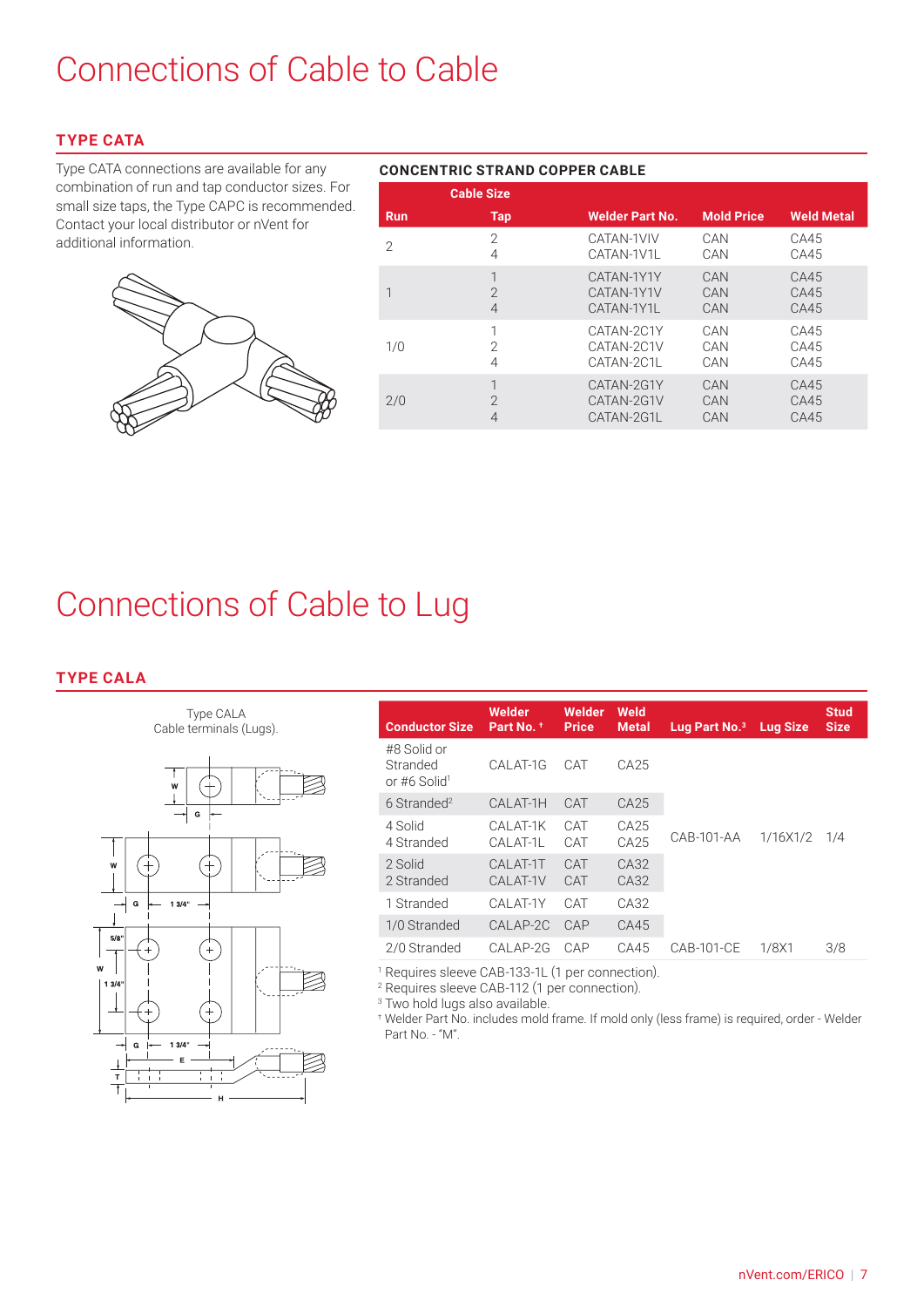### Connections of Cable to Cable

#### **TYPE CATA**

Type CATA connections are available for any combination of run and tap conductor sizes. For small size taps, the Type CAPC is recommended. Contact your local distributor or nVent for additional information.



#### **CONCENTRIC STRAND COPPER CABLE**

|            | <b>Cable Size</b>                    |                                        |                   |                      |
|------------|--------------------------------------|----------------------------------------|-------------------|----------------------|
| <b>Run</b> | <b>Tap</b>                           | <b>Welder Part No.</b>                 | <b>Mold Price</b> | <b>Weld Metal</b>    |
| 2          | $\overline{2}$<br>4                  | CATAN-1VIV<br>CATAN-1V1L               | CAN<br>CAN        | CA45<br>CA45         |
|            | 2<br>$\overline{4}$                  | CATAN-1Y1Y<br>CATAN-1Y1V<br>CATAN-1Y1L | CAN<br>CAN<br>CAN | CA45<br>CA45<br>CA45 |
| 1/0        | $\overline{2}$<br>4                  | CATAN-2C1Y<br>CATAN-2C1V<br>CATAN-2C1L | CAN<br>CAN<br>CAN | CA45<br>CA45<br>CA45 |
| 2/0        | $\overline{1}$<br>$\mathcal{P}$<br>4 | CATAN-2G1Y<br>CATAN-2G1V<br>CATAN-2G1L | CAN<br>CAN<br>CAN | CA45<br>CA45<br>CA45 |

### Connections of Cable to Lug

#### **TYPE CALA**

Type CALA Cable terminals (Lugs).



| <b>Conductor Size</b>                               | Welder<br>Part No. <sup>+</sup>                  | Welder<br><b>Price</b> | Weld<br><b>Metal</b> | Lug Part No. <sup>3</sup> | Lug Size | <b>Stud</b><br><b>Size</b> |
|-----------------------------------------------------|--------------------------------------------------|------------------------|----------------------|---------------------------|----------|----------------------------|
| #8 Solid or<br>Stranded<br>or #6 Solid <sup>1</sup> | CALAT-1G                                         | CAT                    | CA25                 |                           |          |                            |
| $6$ Stranded <sup>2</sup>                           | CALAT-1H                                         | CAT                    | CA25                 |                           |          |                            |
| 4 Solid<br>4 Stranded                               | CALAT-1K<br>CALAT-1L                             | CAT<br>CAT             | CA25<br>CA25         | CAB-101-AA                | 1/16X1/2 | 1/4                        |
| 2 Solid<br>2 Stranded                               | CALAT-1T<br>CALAT-1V                             | CAT<br>CAT             | CA32<br>CA32         |                           |          |                            |
| 1 Stranded                                          | CALAT-1Y                                         | CAT                    | CA32                 |                           |          |                            |
| 1/0 Stranded                                        | CALAP-2C                                         | CAP                    | CA45                 |                           |          |                            |
| 2/0 Stranded                                        | CALAP-2G                                         | CAP                    | CA45                 | CAB-101-CE                | 1/8X1    | 3/8                        |
|                                                     | $\sim$ $\sim$ $\sim$ $\sim$ $\sim$ $\sim$ $\sim$ |                        | $\cdots$             |                           |          |                            |

1 Requires sleeve CAB-133-1L (1 per connection).

2 Requires sleeve CAB-112 (1 per connection).

<sup>3</sup> Two hold lugs also available.

† Welder Part No. includes mold frame. If mold only (less frame) is required, order - Welder Part No. - "M".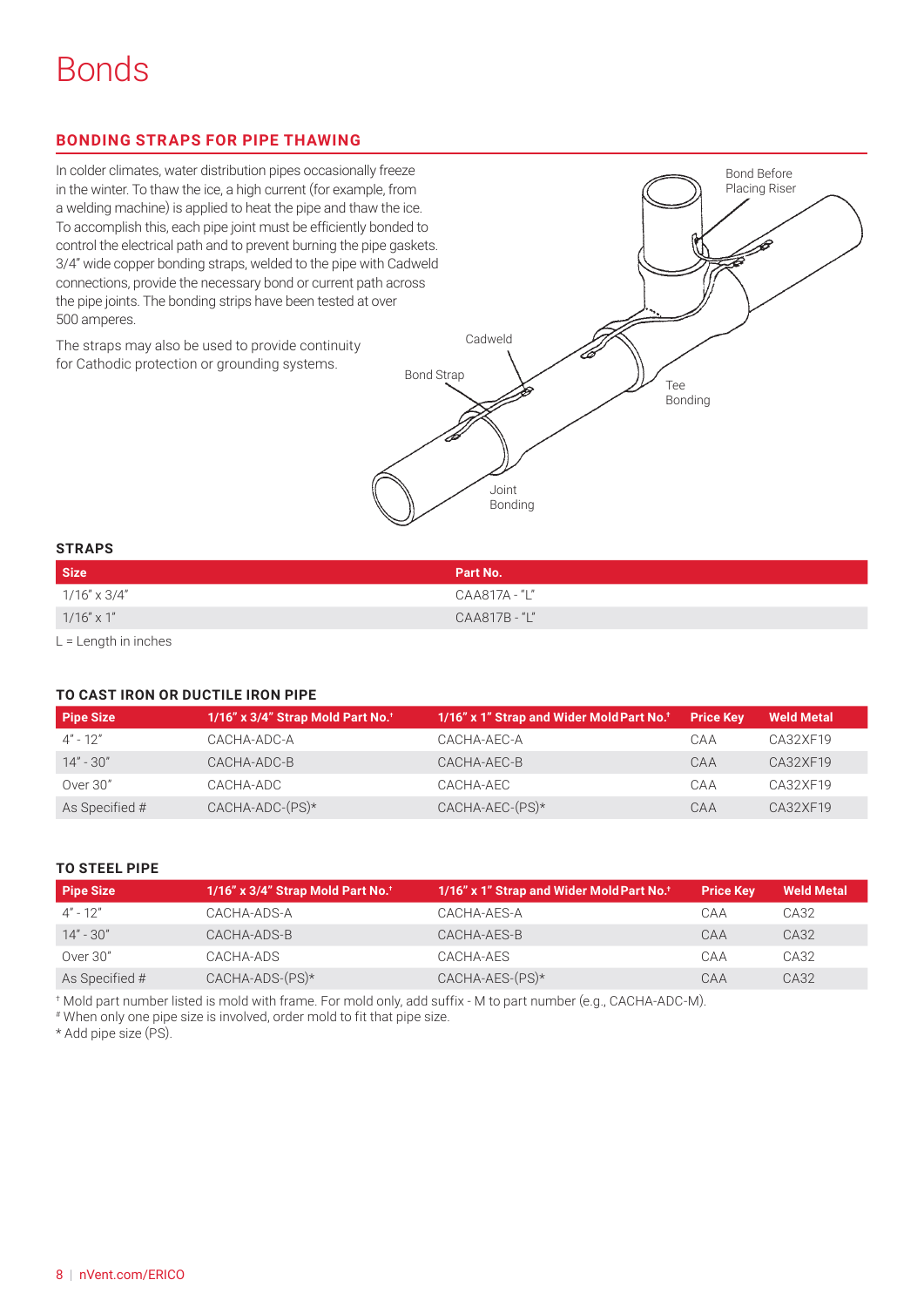#### **BONDING STRAPS FOR PIPE THAWING**

Bond Strap Cadweld Joint Bonding Tee Bonding Bond Before Placing Riser In colder climates, water distribution pipes occasionally freeze in the winter. To thaw the ice, a high current (for example, from a welding machine) is applied to heat the pipe and thaw the ice. To accomplish this, each pipe joint must be efficiently bonded to control the electrical path and to prevent burning the pipe gaskets. 3/4" wide copper bonding straps, welded to the pipe with Cadweld connections, provide the necessary bond or current path across the pipe joints. The bonding strips have been tested at over 500 amperes. The straps may also be used to provide continuity for Cathodic protection or grounding systems. **STRAPS**

| <b>Size</b>         | Part No.      |
|---------------------|---------------|
| 1/16" x 3/4"        | CAA817A - "L" |
| $1/16'' \times 1''$ | CAA817B - "L" |

L = Length in inches

#### **TO CAST IRON OR DUCTILE IRON PIPE**

| <b>Pipe Size</b> | 1/16" x 3/4" Strap Mold Part No. <sup>+</sup> | 1/16" x 1" Strap and Wider Mold Part No. <sup>+</sup> | <b>Price Key</b> | <b>Weld Metal</b> |
|------------------|-----------------------------------------------|-------------------------------------------------------|------------------|-------------------|
| $4" - 12"$       | CACHA-ADC-A                                   | CACHA-AEC-A                                           | CAA              | CA32XF19          |
| $14" - 30"$      | CACHA-ADC-B                                   | CACHA-AEC-B                                           | CAA              | $C$ A32XF19       |
| Over 30"         | CACHA-ADC                                     | CACHA-AEC                                             | CAA              | $C$ A32XF19       |
| As Specified #   | $CACHA-ADC-(PS)*$                             | $CACHA-AEC-(PS)*$                                     | CAA              | $C$ A32XF19       |

#### **TO STEEL PIPE**

| <b>Pipe Size</b> | 1/16" x 3/4" Strap Mold Part No. <sup>+1</sup> | 1/16" x 1" Strap and Wider Mold Part No. <sup>†</sup> | <b>Price Kev</b> | <b>Weld Metal</b> |
|------------------|------------------------------------------------|-------------------------------------------------------|------------------|-------------------|
| $4" - 12"$       | CACHA-ADS-A                                    | CACHA-AES-A                                           | CAA              | CA32              |
| $14" - 30"$      | CACHA-ADS-B                                    | CACHA-AES-B                                           | CAA              | CA32              |
| Over 30"         | CACHA-ADS                                      | CACHA-AES                                             | CAA              | CA32              |
| As Specified #   | $CACHA-ADS-(PS)*$                              | $CACHA-AES-(PS)*$                                     | CAA              | CA32              |

† Mold part number listed is mold with frame. For mold only, add suffix - M to part number (e.g., CACHA-ADC-M).

# When only one pipe size is involved, order mold to fit that pipe size.

\* Add pipe size (PS).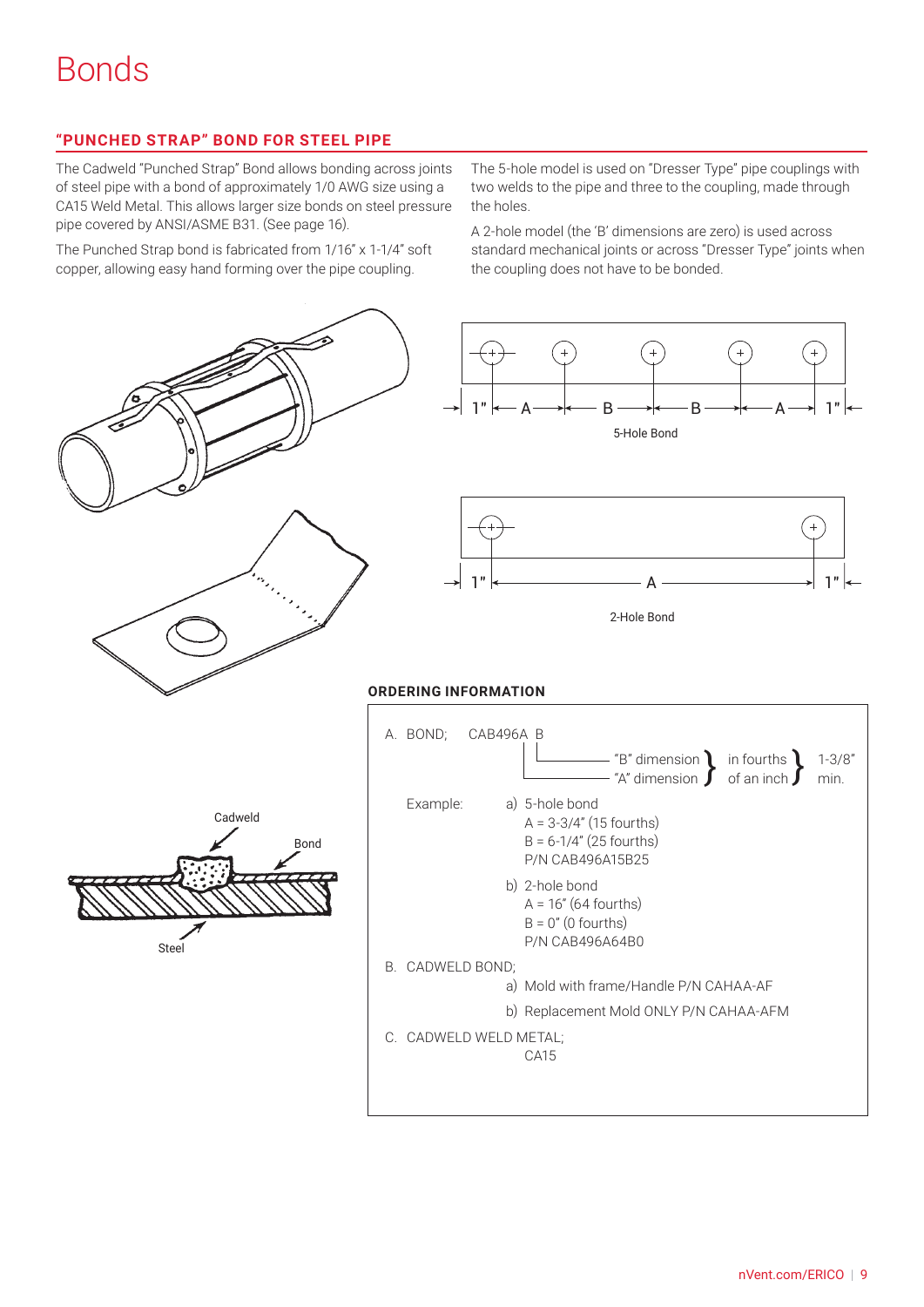#### **"PUNCHED STRAP" BOND FOR STEEL PIPE**

The Cadweld "Punched Strap" Bond allows bonding across joints of steel pipe with a bond of approximately 1/0 AWG size using a CA15 Weld Metal. This allows larger size bonds on steel pressure pipe covered by ANSI/ASME B31. (See page 16).

The Punched Strap bond is fabricated from 1/16" x 1-1/4" soft copper, allowing easy hand forming over the pipe coupling.

The 5-hole model is used on "Dresser Type" pipe couplings with two welds to the pipe and three to the coupling, made through the holes.

A 2-hole model (the 'B' dimensions are zero) is used across standard mechanical joints or across "Dresser Type" joints when the coupling does not have to be bonded.

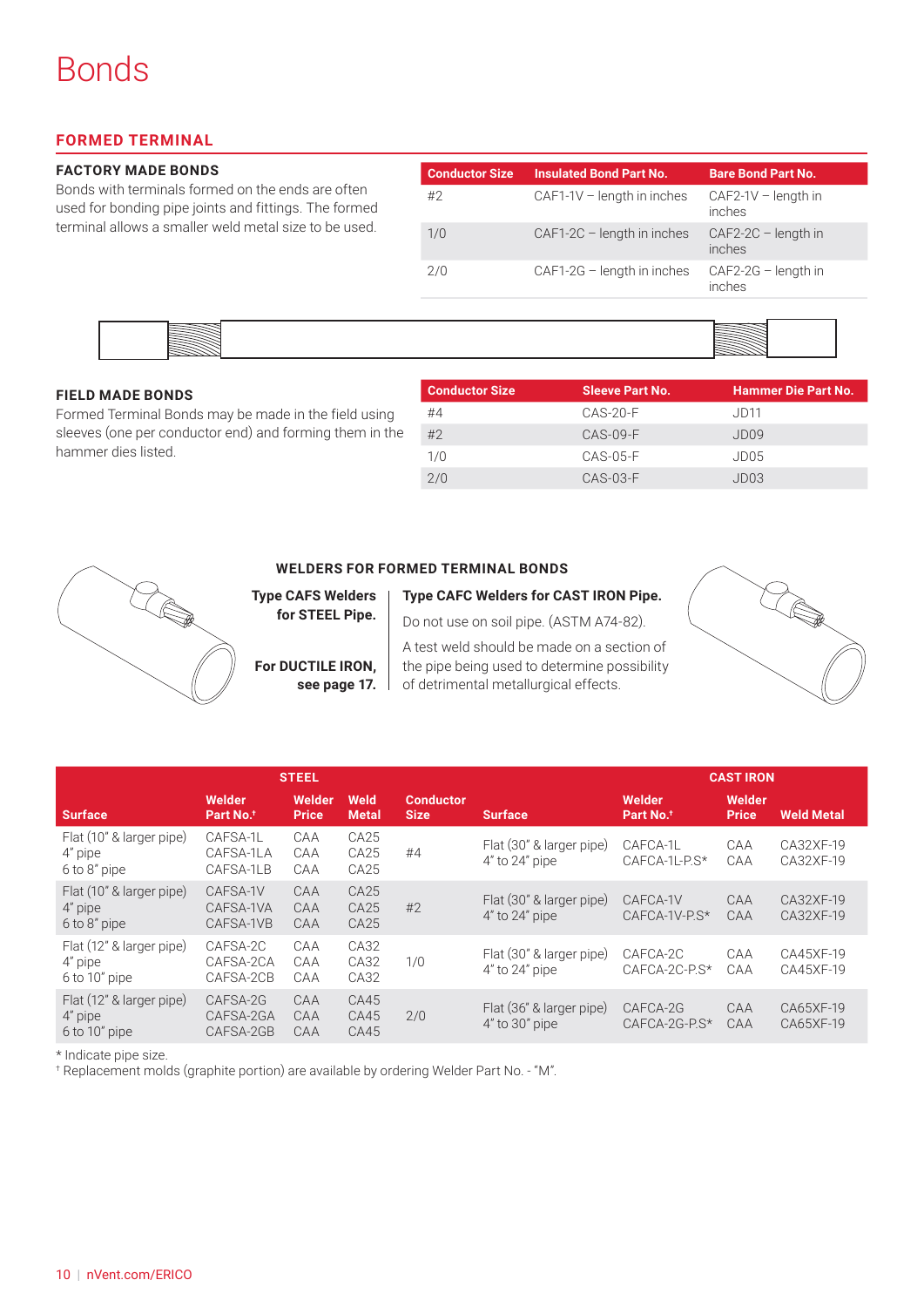#### **FORMED TERMINAL**

#### **FACTORY MADE BONDS**

Bonds with terminals formed on the ends are often used for bonding pipe joints and fittings. The formed terminal allows a smaller weld metal size to be used.

| <b>Conductor Size</b> | <b>Insulated Bond Part No.</b> | <b>Bare Bond Part No.</b>       |
|-----------------------|--------------------------------|---------------------------------|
| #2                    | $CAF1-1V - length in inches$   | $CAF2-1V - length in$<br>inches |
| 1/0                   | $CAF1-2C$ – length in inches   | $CAF2-2C$ – length in<br>inches |
| 2/0                   | $CAF1-2G$ – length in inches   | $CAF2-2G$ – length in<br>inches |



#### **FIELD MADE BONDS**

Formed Terminal Bonds may be made in the field using sleeves (one per conductor end) and forming them in the hammer dies listed.

| <b>Conductor Size</b> | <b>Sleeve Part No.</b> | <b>Hammer Die Part No.</b> |
|-----------------------|------------------------|----------------------------|
| #4                    | $CAS-20-F$             | J <sub>D11</sub>           |
| #2                    | $CAS-09-F$             | JDO9                       |
| 1/0                   | $CAS-05-F$             | JDO5                       |
| 2/0                   | $CAS-03-F$             | JDO3                       |

#### **WELDERS FOR FORMED TERMINAL BONDS**



**for STEEL Pipe.**

**see page 17.**

#### **Type CAFC Welders for CAST IRON Pipe.**

Do not use on soil pipe. (ASTM A74-82).

A test weld should be made on a section of the pipe being used to determine possibility of detrimental metallurgical effects.



|                                                          | <b>STEEL</b>                       |                        |                      |                                 |                                                | <b>CAST IRON</b>                |                        |                        |
|----------------------------------------------------------|------------------------------------|------------------------|----------------------|---------------------------------|------------------------------------------------|---------------------------------|------------------------|------------------------|
| <b>Surface</b>                                           | Welder<br>Part No. <sup>+</sup>    | Welder<br><b>Price</b> | Weld<br><b>Metal</b> | <b>Conductor</b><br><b>Size</b> | <b>Surface</b>                                 | Welder<br>Part No. <sup>+</sup> | Welder<br><b>Price</b> | <b>Weld Metal</b>      |
| Flat (10" & larger pipe)<br>4" pipe<br>6 to 8" pipe      | CAFSA-1L<br>CAFSA-1LA<br>CAFSA-1LB | CAA<br>CAA<br>CAA      | CA25<br>CA25<br>CA25 | #4                              | Flat (30" & larger pipe)<br>$4"$ to $24"$ pipe | CAFCA-1L<br>CAFCA-1L-P.S*       | CAA<br>CAA             | CA32XF-19<br>CA32XF-19 |
| Flat (10" & larger pipe)<br>4" pipe<br>6 to 8" pipe      | CAFSA-1V<br>CAFSA-1VA<br>CAFSA-1VB | CAA<br>CAA<br>CAA      | CA25<br>CA25<br>CA25 | #2                              | Flat (30" & larger pipe)<br>$4"$ to $24"$ pipe | CAFCA-1V<br>CAFCA-1V-P.S*       | CAA<br>CAA             | CA32XF-19<br>CA32XF-19 |
| Flat (12" & larger pipe)<br>4" pipe<br>$6$ to $10"$ pipe | CAFSA-2C<br>CAFSA-2CA<br>CAFSA-2CB | CAA<br>CAA<br>CAA      | CA32<br>CA32<br>CA32 | 1/0                             | Flat (30" & larger pipe)<br>$4"$ to $24"$ pipe | CAFCA-2C<br>CAFCA-2C-P.S*       | CAA<br>CAA             | CA45XF-19<br>CA45XF-19 |
| Flat (12" & larger pipe)<br>4" pipe<br>$6$ to $10"$ pipe | CAFSA-2G<br>CAFSA-2GA<br>CAFSA-2GB | CAA<br>CAA<br>CAA      | CA45<br>CA45<br>CA45 | 2/0                             | Flat (36" & larger pipe)<br>$4"$ to 30" pipe   | CAFCA-2G<br>CAFCA-2G-P.S*       | CAA<br>CAA             | CA65XF-19<br>CA65XF-19 |

\* Indicate pipe size.

† Replacement molds (graphite portion) are available by ordering Welder Part No. - "M".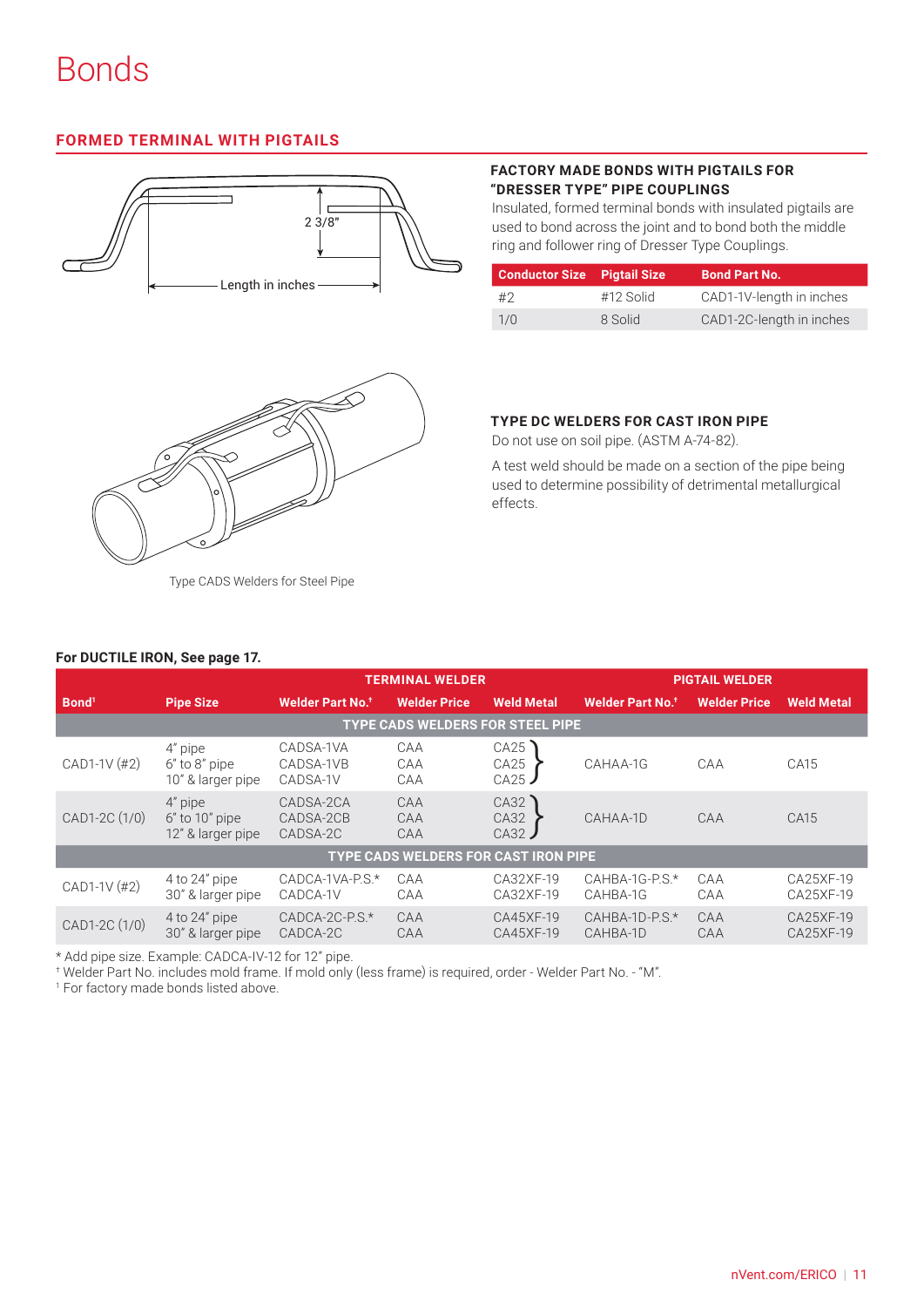#### **FORMED TERMINAL WITH PIGTAILS**



#### **FACTORY MADE BONDS WITH PIGTAILS FOR "DRESSER TYPE" PIPE COUPLINGS**

Insulated, formed terminal bonds with insulated pigtails are used to bond across the joint and to bond both the middle ring and follower ring of Dresser Type Couplings.

| <b>Conductor Size Pigtail Size</b> |           | <b>Bond Part No.</b>     |
|------------------------------------|-----------|--------------------------|
| #2                                 | #12 Solid | CAD1-1V-length in inches |
| 1/0                                | 8 Solid   | CAD1-2C-length in inches |



Type CADS Welders for Steel Pipe

#### **TYPE DC WELDERS FOR CAST IRON PIPE**

Do not use on soil pipe. (ASTM A-74-82).

A test weld should be made on a section of the pipe being used to determine possibility of detrimental metallurgical effects.

|  | For DUCTILE IRON, See page 17. |  |  |
|--|--------------------------------|--|--|
|  |                                |  |  |

|                   |                                                    | <b>TERMINAL WELDER</b>             |                                             |                        | <b>PIGTAIL WELDER</b>               |                     |                        |
|-------------------|----------------------------------------------------|------------------------------------|---------------------------------------------|------------------------|-------------------------------------|---------------------|------------------------|
| Bond <sup>1</sup> | <b>Pipe Size</b>                                   | Welder Part No. <sup>+</sup>       | <b>Welder Price</b>                         | <b>Weld Metal</b>      | <b>Welder Part No.</b> <sup>+</sup> | <b>Welder Price</b> | <b>Weld Metal</b>      |
|                   |                                                    |                                    | <b>TYPE CADS WELDERS FOR STEEL PIPE</b>     |                        |                                     |                     |                        |
| $CAD1-1V (#2)$    | 4" pipe<br>6" to 8" pipe<br>10" & larger pipe      | CADSA-1VA<br>CADSA-1VB<br>CADSA-1V | CAA<br>CAA<br>CAA                           | CA25<br>CA25<br>CA25   | CAHAA-1G                            | CAA                 | CA15                   |
| CAD1-2C (1/0)     | 4" pipe<br>$6"$ to $10"$ pipe<br>12" & larger pipe | CADSA-2CA<br>CADSA-2CB<br>CADSA-2C | CAA<br>CAA<br>CAA                           | CA32<br>CA32<br>CA32   | CAHAA-1D                            | CAA                 | CA <sub>15</sub>       |
|                   |                                                    |                                    | <b>TYPE CADS WELDERS FOR CAST IRON PIPE</b> |                        |                                     |                     |                        |
| CAD1-1V (#2)      | $4$ to $24"$ pipe<br>30" & larger pipe             | CADCA-1VA-P.S.*<br>CADCA-1V        | CAA<br>CAA                                  | CA32XF-19<br>CA32XF-19 | $CAHBA-1G-PS.*$<br>CAHBA-1G         | CAA<br>CAA          | CA25XF-19<br>CA25XF-19 |
| CAD1-2C (1/0)     | $4$ to $24"$ pipe<br>30" & larger pipe             | $CADCA-2C-P.S.*$<br>CADCA-2C       | CAA<br>CAA                                  | CA45XF-19<br>CA45XF-19 | $CAHBA-1D-PS.*$<br>CAHBA-1D         | CAA<br>CAA          | CA25XF-19<br>CA25XF-19 |

\* Add pipe size. Example: CADCA-IV-12 for 12" pipe.

† Welder Part No. includes mold frame. If mold only (less frame) is required, order - Welder Part No. - "M".

1 For factory made bonds listed above.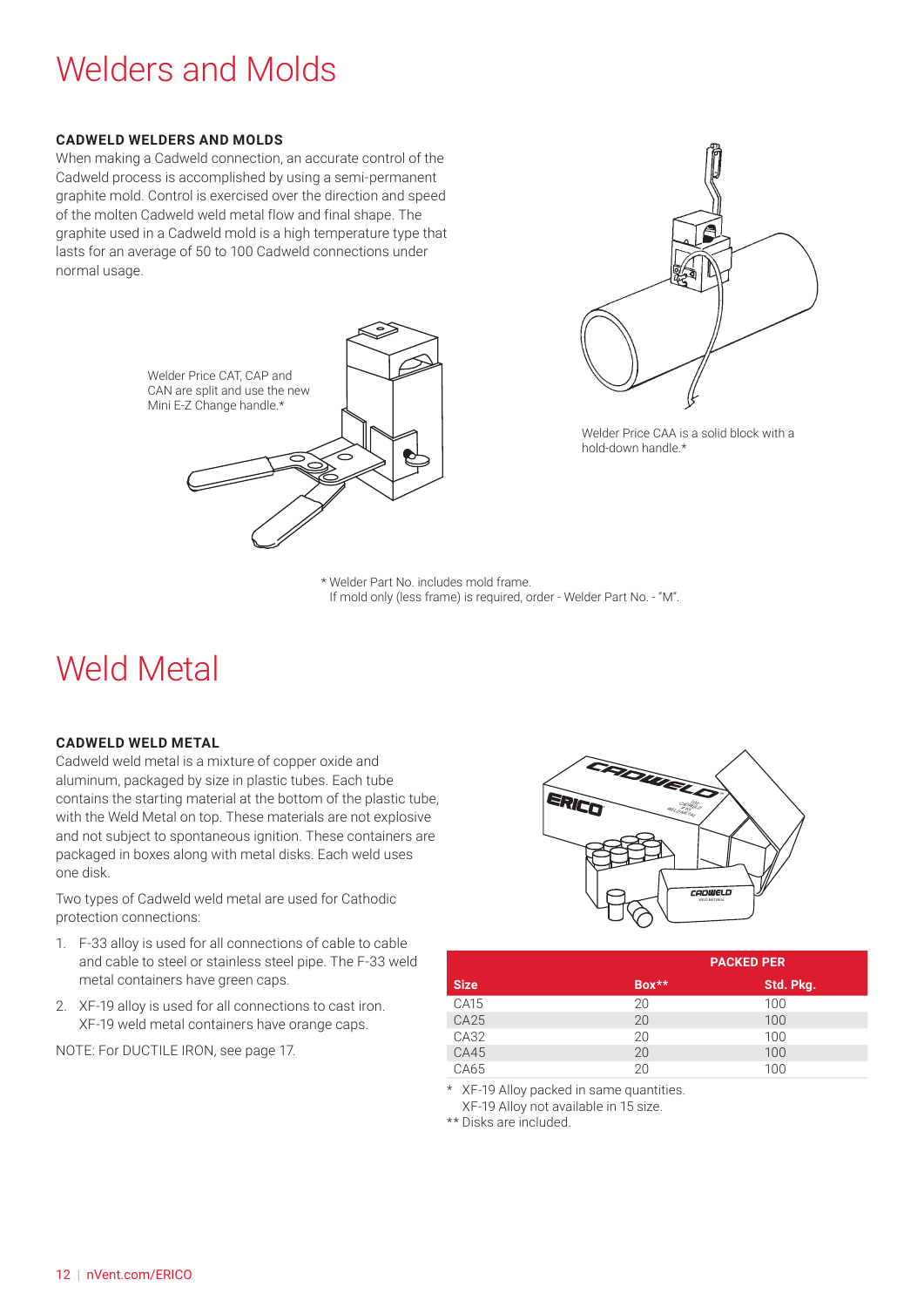### Welders and Molds

#### **CADWELD WELDERS AND MOLDS**

When making a Cadweld connection, an accurate control of the Cadweld process is accomplished by using a semi-permanent graphite mold. Control is exercised over the direction and speed of the molten Cadweld weld metal flow and final shape. The graphite used in a Cadweld mold is a high temperature type that lasts for an average of 50 to 100 Cadweld connections under normal usage.





Welder Price CAA is a solid block with a hold-down handle.\*

\* Welder Part No. includes mold frame. If mold only (less frame) is required, order - Welder Part No. - "M".

### Weld Metal

#### **CADWELD WELD METAL**

Cadweld weld metal is a mixture of copper oxide and aluminum, packaged by size in plastic tubes. Each tube contains the starting material at the bottom of the plastic tube, with the Weld Metal on top. These materials are not explosive and not subject to spontaneous ignition. These containers are packaged in boxes along with metal disks. Each weld uses one disk.

Two types of Cadweld weld metal are used for Cathodic protection connections:

- 1. F-33 alloy is used for all connections of cable to cable and cable to steel or stainless steel pipe. The F-33 weld metal containers have green caps.
- 2. XF-19 alloy is used for all connections to cast iron. XF-19 weld metal containers have orange caps.

NOTE: For DUCTILE IRON, see page 17.



|             | <b>PACKED PER</b> |           |  |
|-------------|-------------------|-----------|--|
| <b>Size</b> | $Box**$           | Std. Pkg. |  |
| CA15        | 20                | 100       |  |
| CA25        | 20                | 100       |  |
| CA32        | 20                | 100       |  |
| CA45        | 20                | 100       |  |
| CA65        | 20                | 100       |  |

\* XF-19 Alloy packed in same quantities. XF-19 Alloy not available in 15 size.

\*\* Disks are included.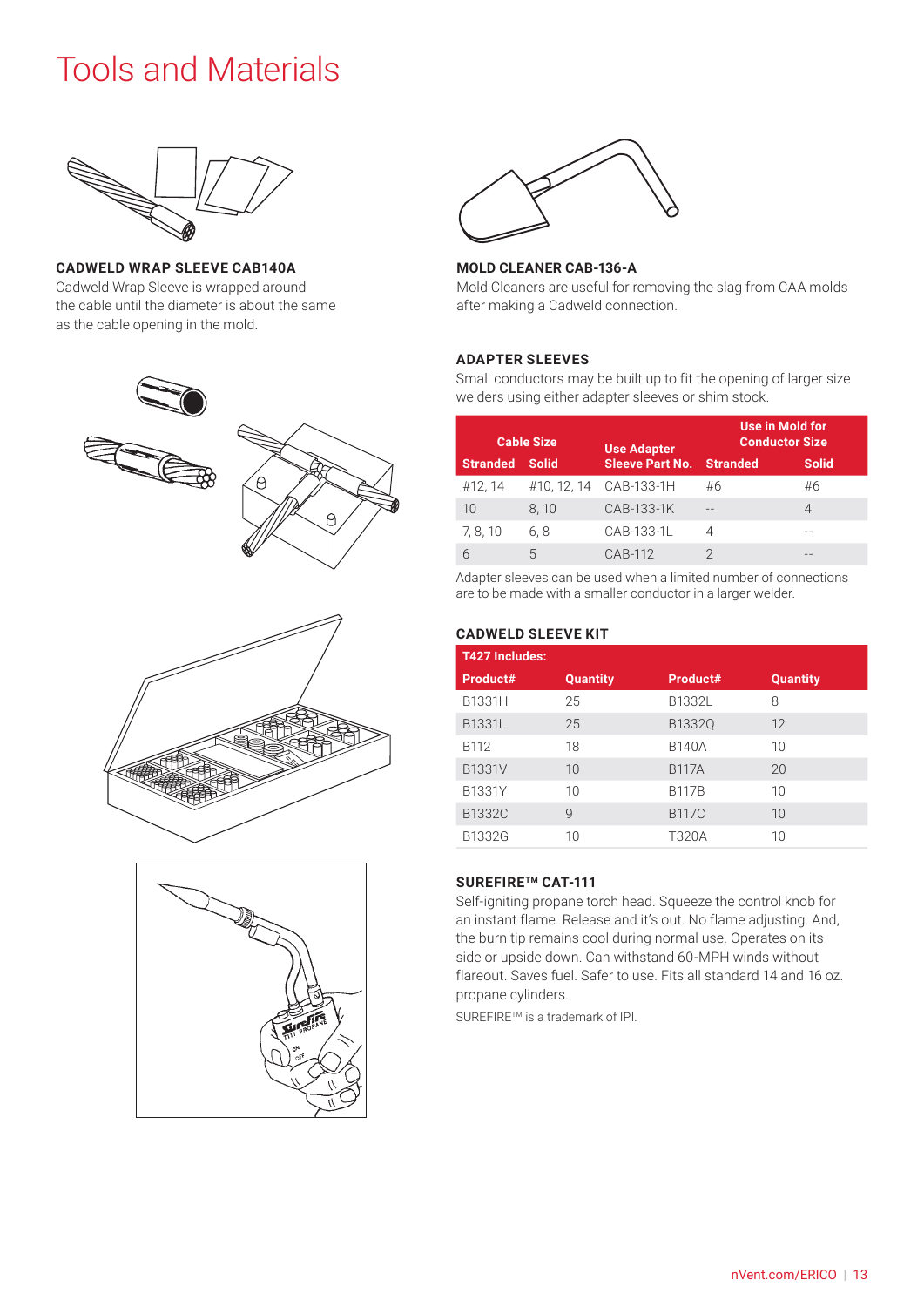### Tools and Materials



**CADWELD WRAP SLEEVE CAB140A** Cadweld Wrap Sleeve is wrapped around the cable until the diameter is about the same as the cable opening in the mold.









#### **MOLD CLEANER CAB-136-A**

Mold Cleaners are useful for removing the slag from CAA molds after making a Cadweld connection.

#### **ADAPTER SLEEVES**

Small conductors may be built up to fit the opening of larger size welders using either adapter sleeves or shim stock.

| <b>Cable Size</b> |             | <b>Use Adapter</b>     | Use in Mold for<br><b>Conductor Size</b> |              |  |
|-------------------|-------------|------------------------|------------------------------------------|--------------|--|
| <b>Stranded</b>   | Solid       | <b>Sleeve Part No.</b> | <b>Stranded</b>                          | <b>Solid</b> |  |
| #12, 14           | #10, 12, 14 | CAB-133-1H             | #6                                       | #6           |  |
| 10                | 8.10        | CAB-133-1K             | $- -$                                    | 4            |  |
| 7, 8, 10          | 6.8         | CAB-133-1L             | 4                                        |              |  |
|                   | 5           | CAB-112                |                                          |              |  |

Adapter sleeves can be used when a limited number of connections are to be made with a smaller conductor in a larger welder.

#### **CADWELD SLEEVE KIT**

| <b>T427 Includes:</b> |                 |               |                 |
|-----------------------|-----------------|---------------|-----------------|
| Product#              | <b>Quantity</b> | Product#      | <b>Quantity</b> |
| B1331H                | 25              | <b>B1332L</b> | 8               |
| <b>B1331L</b>         | 25              | B1332Q        | 12              |
| B112                  | 18              | <b>B140A</b>  | 10              |
| <b>B1331V</b>         | 10              | <b>B117A</b>  | 20              |
| <b>B1331Y</b>         | 10              | <b>B117B</b>  | 10              |
| <b>B1332C</b>         | $\mathsf{Q}$    | <b>B117C</b>  | 10              |
| <b>B1332G</b>         | 10              | T320A         | 10              |

#### **SUREFIRETM CAT-111**

Self-igniting propane torch head. Squeeze the control knob for an instant flame. Release and it's out. No flame adjusting. And, the burn tip remains cool during normal use. Operates on its side or upside down. Can withstand 60-MPH winds without flareout. Saves fuel. Safer to use. Fits all standard 14 and 16 oz. propane cylinders.

SUREFIRE™ is a trademark of IPI.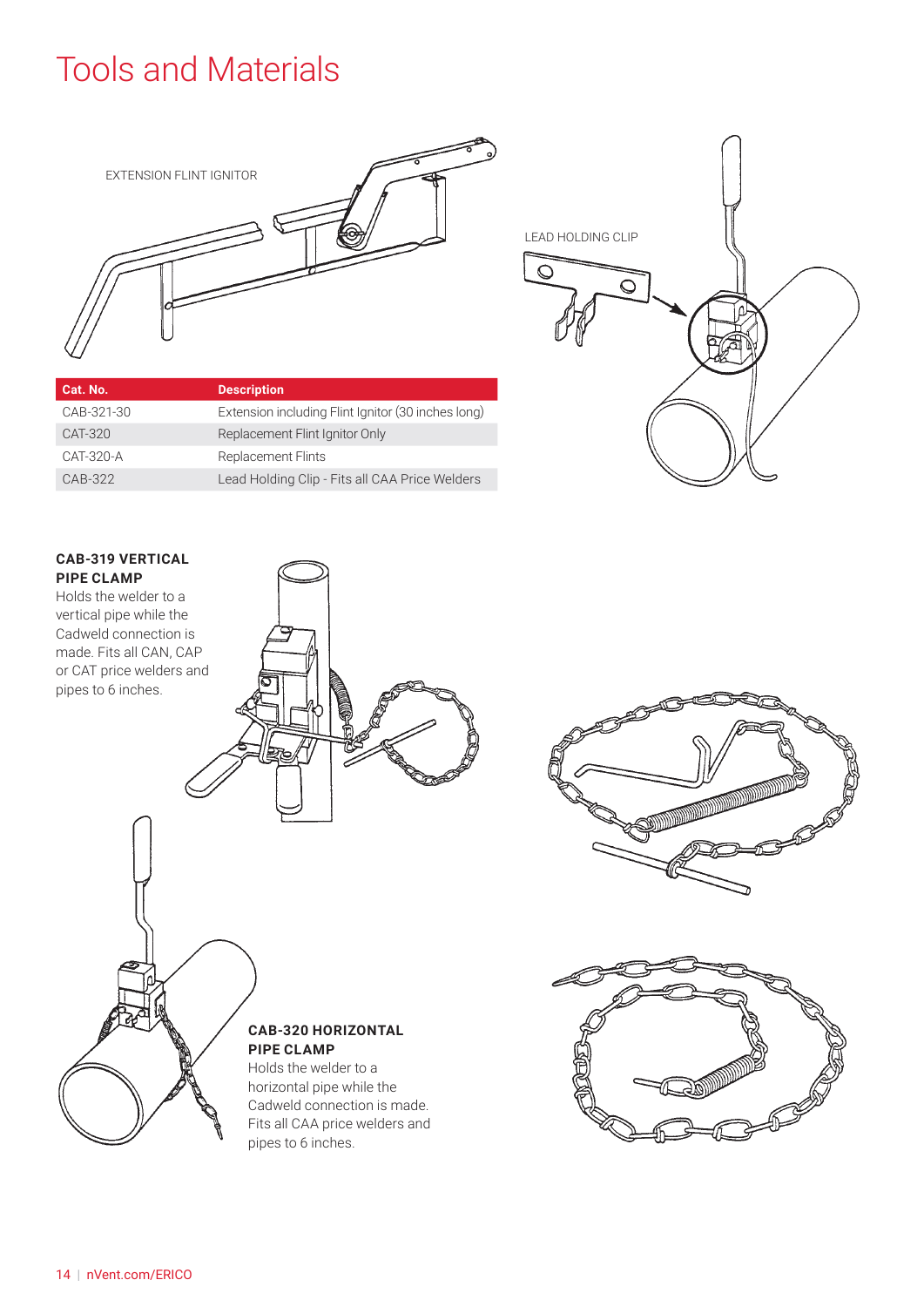### Tools and Materials



| Cat. No.   | <b>Description</b>                                 |
|------------|----------------------------------------------------|
| CAB-321-30 | Extension including Flint Ignitor (30 inches long) |
| CAT-320    | Replacement Flint Ignitor Only                     |
| CAT-320-A  | <b>Replacement Flints</b>                          |
| CAB-322    | Lead Holding Clip - Fits all CAA Price Welders     |







**CAB-319 VERTICAL**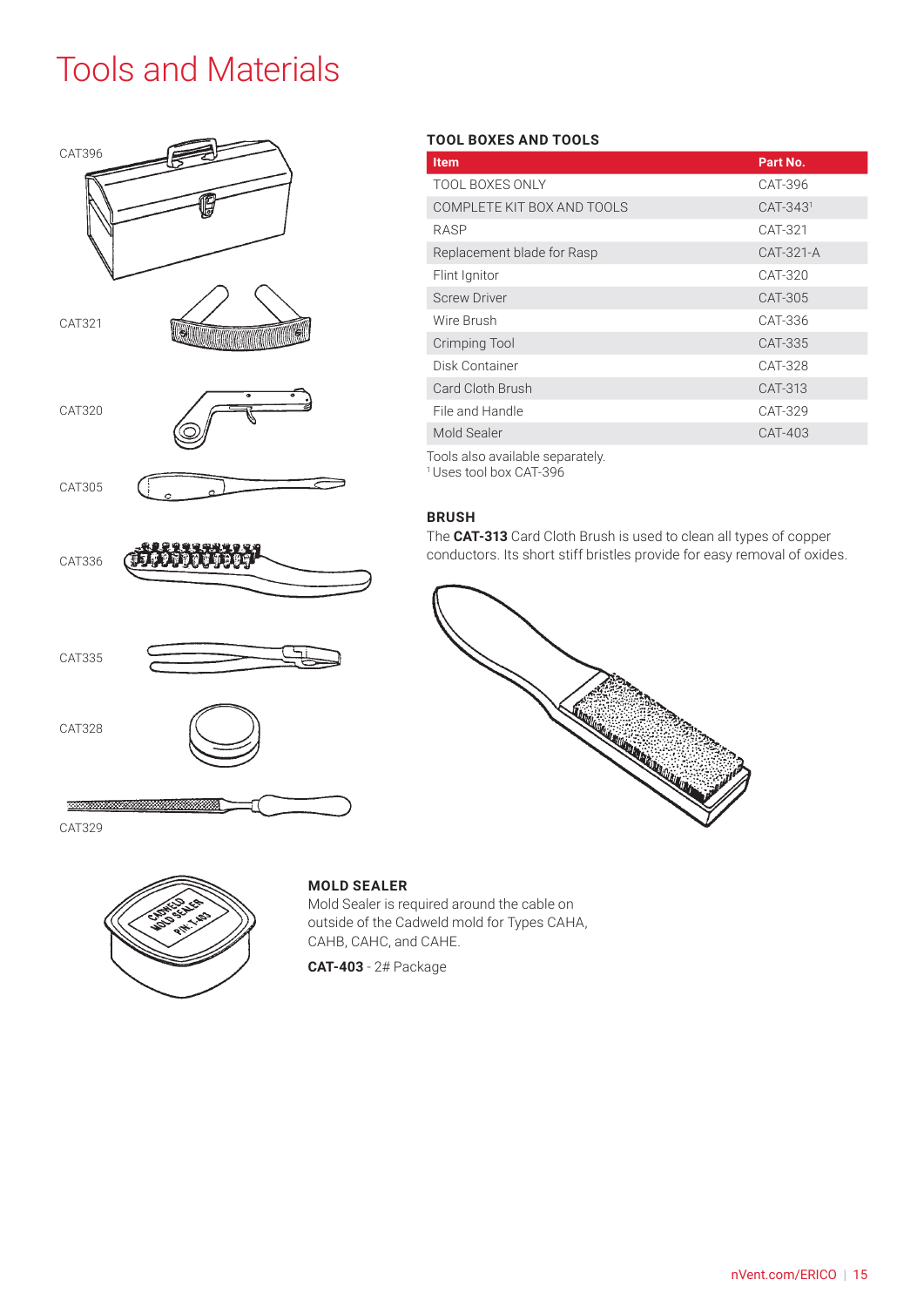### Tools and Materials



#### **TOOL BOXES AND TOOLS**

| <b>Item</b>                | Part No.             |
|----------------------------|----------------------|
| <b>TOOL BOXES ONLY</b>     | CAT-396              |
| COMPLETE KIT BOX AND TOOLS | CAT-343 <sup>1</sup> |
| RASP                       | CAT-321              |
| Replacement blade for Rasp | CAT-321-A            |
| Flint Ignitor              | CAT-320              |
| <b>Screw Driver</b>        | CAT-305              |
| Wire Brush                 | CAT-336              |
| <b>Crimping Tool</b>       | CAT-335              |
| Disk Container             | CAT-328              |
| Card Cloth Brush           | CAT-313              |
| File and Handle            | CAT-329              |
| Mold Sealer                | CAT-403              |
|                            |                      |

Tools also available separately.

1 Uses tool box CAT-396

#### **BRUSH**

The **CAT-313** Card Cloth Brush is used to clean all types of copper conductors. Its short stiff bristles provide for easy removal of oxides.





#### **MOLD SEALER**

Mold Sealer is required around the cable on outside of the Cadweld mold for Types CAHA, CAHB, CAHC, and CAHE.

**CAT-403** - 2# Package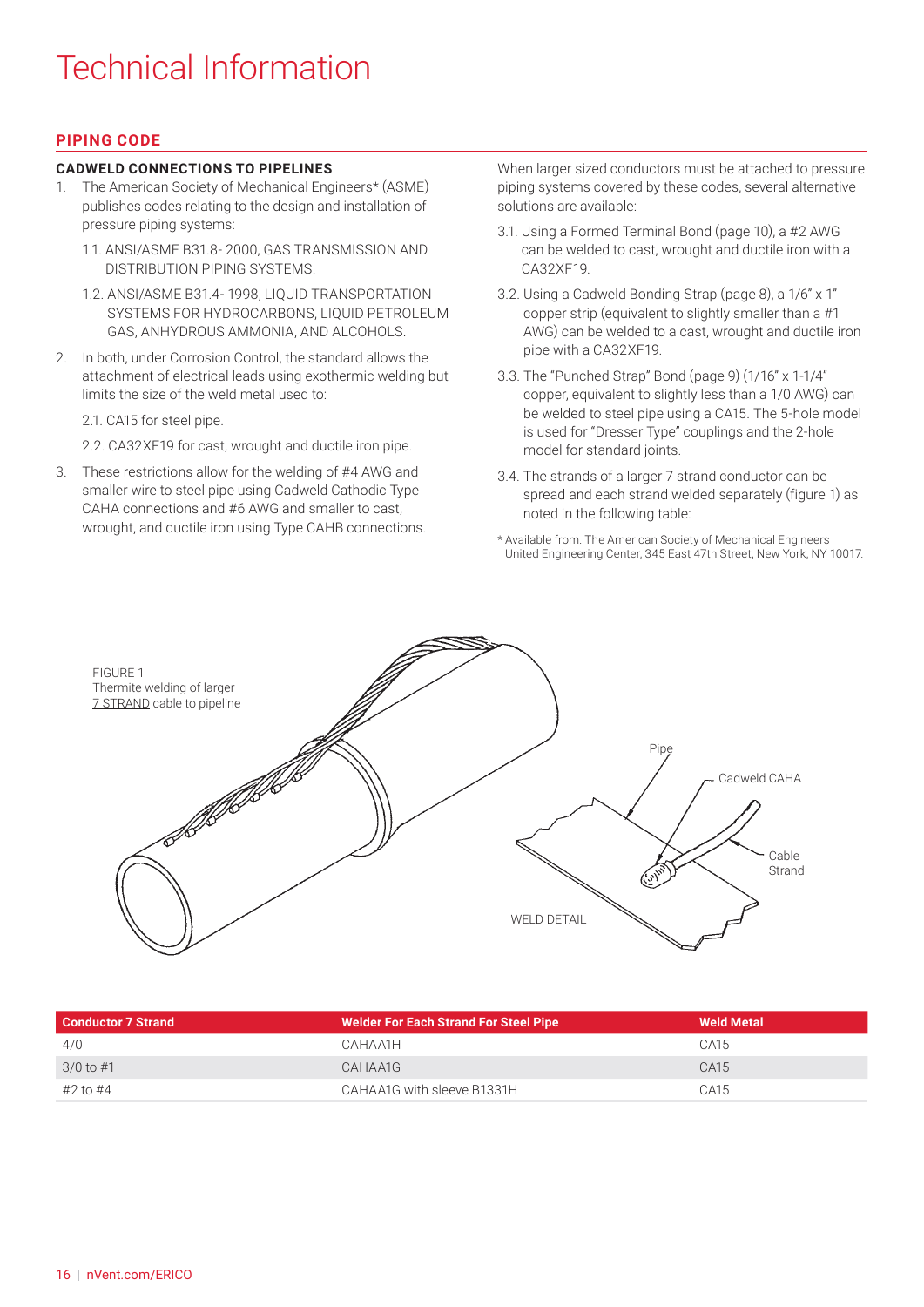#### **PIPING CODE**

#### **CADWELD CONNECTIONS TO PIPELINES**

- 1. The American Society of Mechanical Engineers\* (ASME) publishes codes relating to the design and installation of pressure piping systems:
	- 1.1. ANSI/ASME B31.8- 2000, GAS TRANSMISSION AND DISTRIBUTION PIPING SYSTEMS.
	- 1.2. ANSI/ASME B31.4- 1998, LIQUID TRANSPORTATION SYSTEMS FOR HYDROCARBONS, LIQUID PETROLEUM GAS, ANHYDROUS AMMONIA, AND ALCOHOLS.
- 2. In both, under Corrosion Control, the standard allows the attachment of electrical leads using exothermic welding but limits the size of the weld metal used to:
	- 2.1. CA15 for steel pipe.
	- 2.2. CA32XF19 for cast, wrought and ductile iron pipe.
- 3. These restrictions allow for the welding of #4 AWG and smaller wire to steel pipe using Cadweld Cathodic Type CAHA connections and #6 AWG and smaller to cast, wrought, and ductile iron using Type CAHB connections.

When larger sized conductors must be attached to pressure piping systems covered by these codes, several alternative solutions are available:

- 3.1. Using a Formed Terminal Bond (page 10), a #2 AWG can be welded to cast, wrought and ductile iron with a CA32XF19.
- 3.2. Using a Cadweld Bonding Strap (page 8), a 1/6" x 1" copper strip (equivalent to slightly smaller than a #1 AWG) can be welded to a cast, wrought and ductile iron pipe with a CA32XF19.
- 3.3. The "Punched Strap" Bond (page 9) (1/16" x 1-1/4" copper, equivalent to slightly less than a 1/0 AWG) can be welded to steel pipe using a CA15. The 5-hole model is used for "Dresser Type" couplings and the 2-hole model for standard joints.
- 3.4. The strands of a larger 7 strand conductor can be spread and each strand welded separately (figure 1) as noted in the following table:
- \* Available from: The American Society of Mechanical Engineers United Engineering Center, 345 East 47th Street, New York, NY 10017.



| Conductor 7 Strand | <b>Welder For Each Strand For Steel Pipe</b> | <b>Weld Metal</b> |
|--------------------|----------------------------------------------|-------------------|
| 4/0                | CAHAA1H                                      | CA15              |
| $3/0$ to #1        | CAHAA1G                                      | CA <sub>15</sub>  |
| #2 to #4           | CAHAA1G with sleeve B1331H                   | CA <sub>15</sub>  |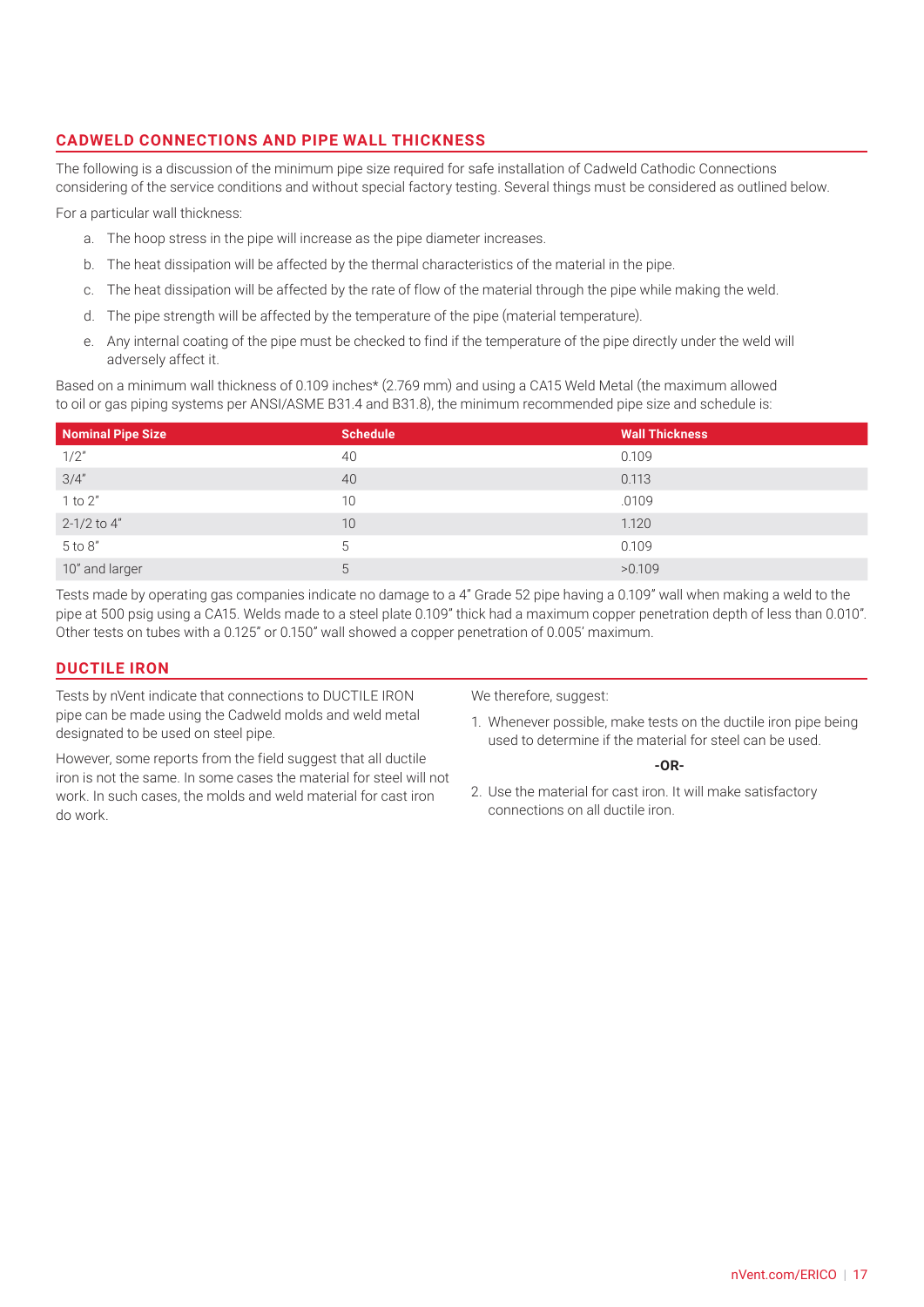#### **CADWELD CONNECTIONS AND PIPE WALL THICKNESS**

The following is a discussion of the minimum pipe size required for safe installation of Cadweld Cathodic Connections considering of the service conditions and without special factory testing. Several things must be considered as outlined below.

For a particular wall thickness:

- a. The hoop stress in the pipe will increase as the pipe diameter increases.
- b. The heat dissipation will be affected by the thermal characteristics of the material in the pipe.
- c. The heat dissipation will be affected by the rate of flow of the material through the pipe while making the weld.
- d. The pipe strength will be affected by the temperature of the pipe (material temperature).
- e. Any internal coating of the pipe must be checked to find if the temperature of the pipe directly under the weld will adversely affect it.

Based on a minimum wall thickness of 0.109 inches\* (2.769 mm) and using a CA15 Weld Metal (the maximum allowed to oil or gas piping systems per ANSI/ASME B31.4 and B31.8), the minimum recommended pipe size and schedule is:

| <b>Nominal Pipe Size</b> | <b>Schedule</b> | <b>Wall Thickness</b> |
|--------------------------|-----------------|-----------------------|
| 1/2"                     | 40              | 0.109                 |
| 3/4"                     | 40              | 0.113                 |
| $1$ to $2"$              | 10              | .0109                 |
| $2-1/2$ to $4"$          | 10              | 1.120                 |
| 5 to 8"                  | 5               | 0.109                 |
| 10" and larger           | 5               | >0.109                |

Tests made by operating gas companies indicate no damage to a 4" Grade 52 pipe having a 0.109" wall when making a weld to the pipe at 500 psig using a CA15. Welds made to a steel plate 0.109" thick had a maximum copper penetration depth of less than 0.010". Other tests on tubes with a 0.125" or 0.150" wall showed a copper penetration of 0.005' maximum.

#### **DUCTILE IRON**

Tests by nVent indicate that connections to DUCTILE IRON pipe can be made using the Cadweld molds and weld metal designated to be used on steel pipe.

We therefore, suggest:

1. Whenever possible, make tests on the ductile iron pipe being used to determine if the material for steel can be used.

#### **-OR-**

2. Use the material for cast iron. It will make satisfactory connections on all ductile iron.

However, some reports from the field suggest that all ductile iron is not the same. In some cases the material for steel will not work. In such cases, the molds and weld material for cast iron do work.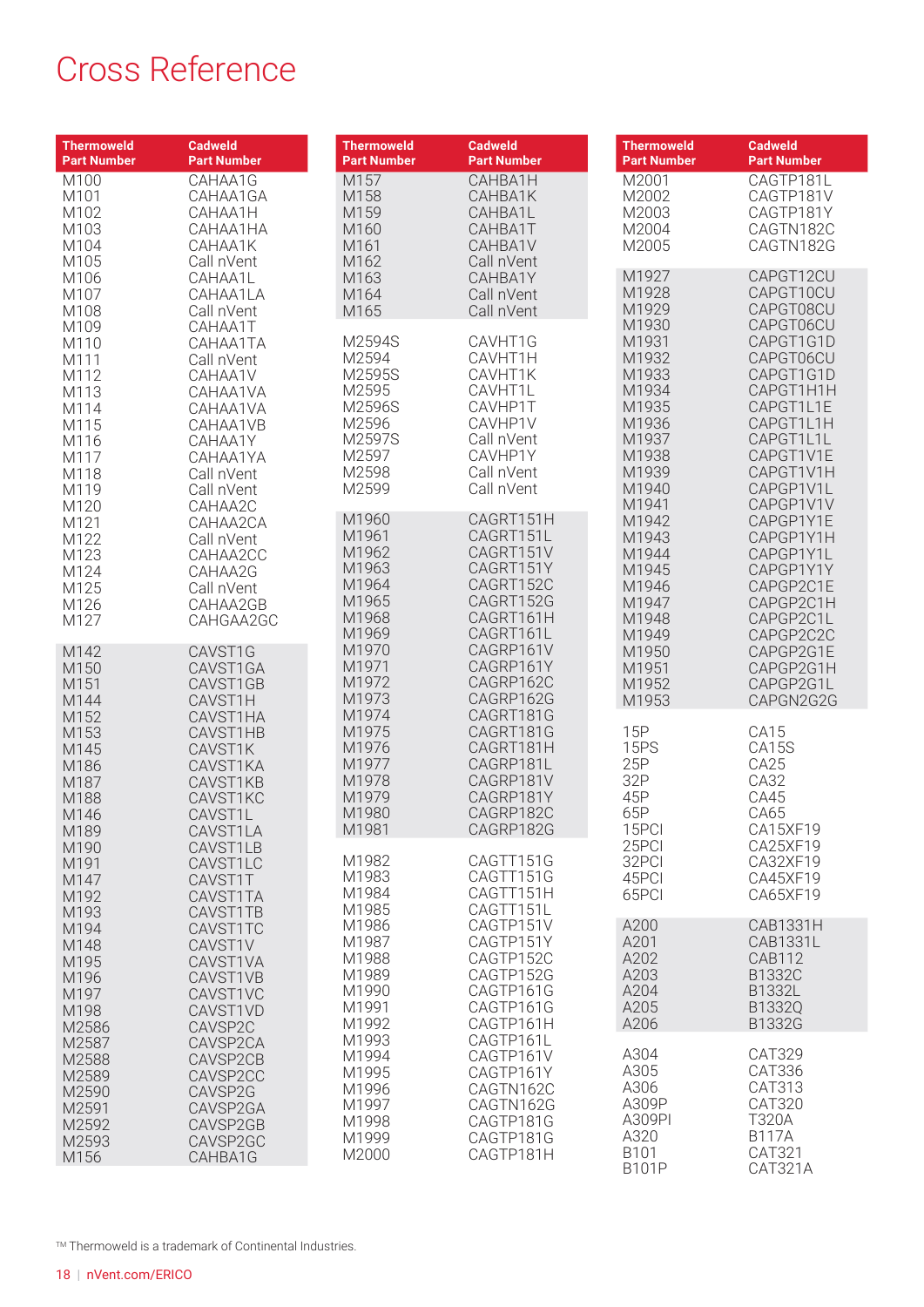### Cross Reference

| <b>Thermoweld</b><br><b>Part Number</b>                                              | <b>Cadweld</b><br><b>Part Number</b>                                                                                                | <b>Thermoweld</b><br><b>Part Number</b>                                                         | Cadweld<br><b>Part Number</b>                                                                                                               | <b>Thermoweld</b><br><b>Part Number</b>                                                         | <b>Cadweld</b><br><b>Part Number</b>                                                                                                        |
|--------------------------------------------------------------------------------------|-------------------------------------------------------------------------------------------------------------------------------------|-------------------------------------------------------------------------------------------------|---------------------------------------------------------------------------------------------------------------------------------------------|-------------------------------------------------------------------------------------------------|---------------------------------------------------------------------------------------------------------------------------------------------|
| M <sub>100</sub><br>M101<br>M102<br>M103<br>M104<br>M105                             | CAHAA1G<br>CAHAA1GA<br>CAHAA1H<br>CAHAA1HA<br>CAHAA1K<br>Call nVent                                                                 | M <sub>157</sub><br>M158<br>M159<br>M160<br>M161<br>M162                                        | CAHBA1H<br>CAHBA1K<br>CAHBA1L<br>CAHBA1T<br>CAHBA1V<br>Call nVent                                                                           | M2001<br>M2002<br>M2003<br>M2004<br>M2005                                                       | CAGTP181L<br>CAGTP181V<br>CAGTP181Y<br>CAGTN182C<br>CAGTN182G                                                                               |
| M106<br>M107<br>M108                                                                 | CAHAA1L<br>CAHAA1LA<br>Call nVent                                                                                                   | M163<br>M164<br>M165                                                                            | CAHBA1Y<br>Call nVent<br>Call nVent                                                                                                         | M1927<br>M1928<br>M1929                                                                         | CAPGT12CU<br>CAPGT10CU<br>CAPGT08CU                                                                                                         |
| M109<br>M110<br>M111<br>M112<br>M113<br>M114<br>M115<br>M116<br>M117<br>M118<br>M119 | CAHAA1T<br>CAHAA1TA<br>Call nVent<br>CAHAA1V<br>CAHAA1VA<br>CAHAA1VA<br>CAHAA1VB<br>CAHAA1Y<br>CAHAA1YA<br>Call nVent<br>Call nVent | M2594S<br>M2594<br>M2595S<br>M2595<br>M2596S<br>M2596<br>M2597S<br>M2597<br>M2598<br>M2599      | CAVHT1G<br>CAVHT1H<br>CAVHT1K<br>CAVHT1L<br>CAVHP1T<br>CAVHP1V<br>Call nVent<br>CAVHP1Y<br>Call nVent<br>Call nVent                         | M1930<br>M1931<br>M1932<br>M1933<br>M1934<br>M1935<br>M1936<br>M1937<br>M1938<br>M1939<br>M1940 | CAPGT06CU<br>CAPGT1G1D<br>CAPGT06CU<br>CAPGT1G1D<br>CAPGT1H1H<br>CAPGT1L1E<br>CAPGT1L1H<br>CAPGT1L1L<br>CAPGT1V1E<br>CAPGT1V1H<br>CAPGP1V1L |
| M120<br>M121<br>M122<br>M123<br>M124<br>M125<br>M126<br>M127<br>M142                 | CAHAA2C<br>CAHAA2CA<br>Call nVent<br>CAHAA2CC<br>CAHAA2G<br>Call nVent<br>CAHAA2GB<br>CAHGAA2GC<br>CAVST1G                          | M1960<br>M1961<br>M1962<br>M1963<br>M1964<br>M1965<br>M1968<br>M1969<br>M1970                   | CAGRT151H<br>CAGRT151L<br>CAGRT151V<br>CAGRT151Y<br>CAGRT152C<br>CAGRT152G<br>CAGRT161H<br>CAGRT161L<br>CAGRP161V                           | M1941<br>M1942<br>M1943<br>M1944<br>M1945<br>M1946<br>M1947<br>M1948<br>M1949<br>M1950          | CAPGP1V1V<br>CAPGP1Y1E<br>CAPGP1Y1H<br>CAPGP1Y1L<br>CAPGP1Y1Y<br>CAPGP2C1E<br>CAPGP2C1H<br>CAPGP2C1L<br>CAPGP2C2C<br>CAPGP2G1E              |
| M150<br>M151<br>M144<br>M152<br>M153<br>M145<br>M186<br>M187<br>M188<br>M146<br>M189 | CAVST1GA<br>CAVST1GB<br>CAVST1H<br>CAVST1HA<br>CAVST1HB<br>CAVST1K<br>CAVST1KA<br>CAVST1KB<br>CAVST1KC<br>CAVST1L<br>CAVST1LA       | M1971<br>M1972<br>M1973<br>M1974<br>M1975<br>M1976<br>M1977<br>M1978<br>M1979<br>M1980<br>M1981 | CAGRP161Y<br>CAGRP162C<br>CAGRP162G<br>CAGRT181G<br>CAGRT181G<br>CAGRT181H<br>CAGRP181L<br>CAGRP181V<br>CAGRP181Y<br>CAGRP182C<br>CAGRP182G | M1951<br>M1952<br>M1953<br>15P<br>15PS<br>25P<br>32P<br>45P<br>65P<br>15PCI                     | CAPGP2G1H<br>CAPGP2G1L<br>CAPGN2G2G<br>CA15<br><b>CA15S</b><br>CA25<br>CA32<br>CA45<br>CA65<br>CA15XF19                                     |
| M190<br>M191<br>M147<br>M192                                                         | CAVST1LB<br>CAVST1LC<br>CAVST1T<br>CAVST1TA                                                                                         | M1982<br>M1983<br>M1984<br>M1985                                                                | CAGTT151G<br>CAGTT151G<br>CAGTT151H<br>CAGTT151L                                                                                            | 25PCI<br>32PCI<br>45PCI<br>65PCI                                                                | CA25XF19<br>CA32XF19<br>CA45XF19<br>CA65XF19                                                                                                |
| M193<br>M194<br>M148<br>M195<br>M196<br>M197<br>M198<br>M2586                        | CAVST1TB<br>CAVST1TC<br>CAVST1V<br>CAVST1VA<br>CAVST1VB<br>CAVST1VC<br>CAVST1VD<br>CAVSP2C                                          | M1986<br>M1987<br>M1988<br>M1989<br>M1990<br>M1991<br>M1992                                     | CAGTP151V<br>CAGTP151Y<br>CAGTP152C<br>CAGTP152G<br>CAGTP161G<br>CAGTP161G<br>CAGTP161H                                                     | A200<br>A201<br>A202<br>A203<br>A204<br>A205<br>A206                                            | <b>CAB1331H</b><br>CAB1331L<br><b>CAB112</b><br><b>B1332C</b><br><b>B1332L</b><br>B1332Q<br><b>B1332G</b>                                   |
| M2587<br>M2588<br>M2589<br>M2590<br>M2591<br>M2592<br>M2593<br>M156                  | CAVSP2CA<br>CAVSP2CB<br>CAVSP2CC<br>CAVSP2G<br>CAVSP2GA<br>CAVSP2GB<br>CAVSP2GC<br>CAHBA1G                                          | M1993<br>M1994<br>M1995<br>M1996<br>M1997<br>M1998<br>M1999<br>M2000                            | CAGTP161L<br>CAGTP161V<br>CAGTP161Y<br>CAGTN162C<br>CAGTN162G<br>CAGTP181G<br>CAGTP181G<br>CAGTP181H                                        | A304<br>A305<br>A306<br>A309P<br>A309PI<br>A320<br>B101<br><b>B101P</b>                         | CAT329<br>CAT336<br>CAT313<br>CAT320<br><b>T320A</b><br><b>B117A</b><br>CAT321<br>CAT321A                                                   |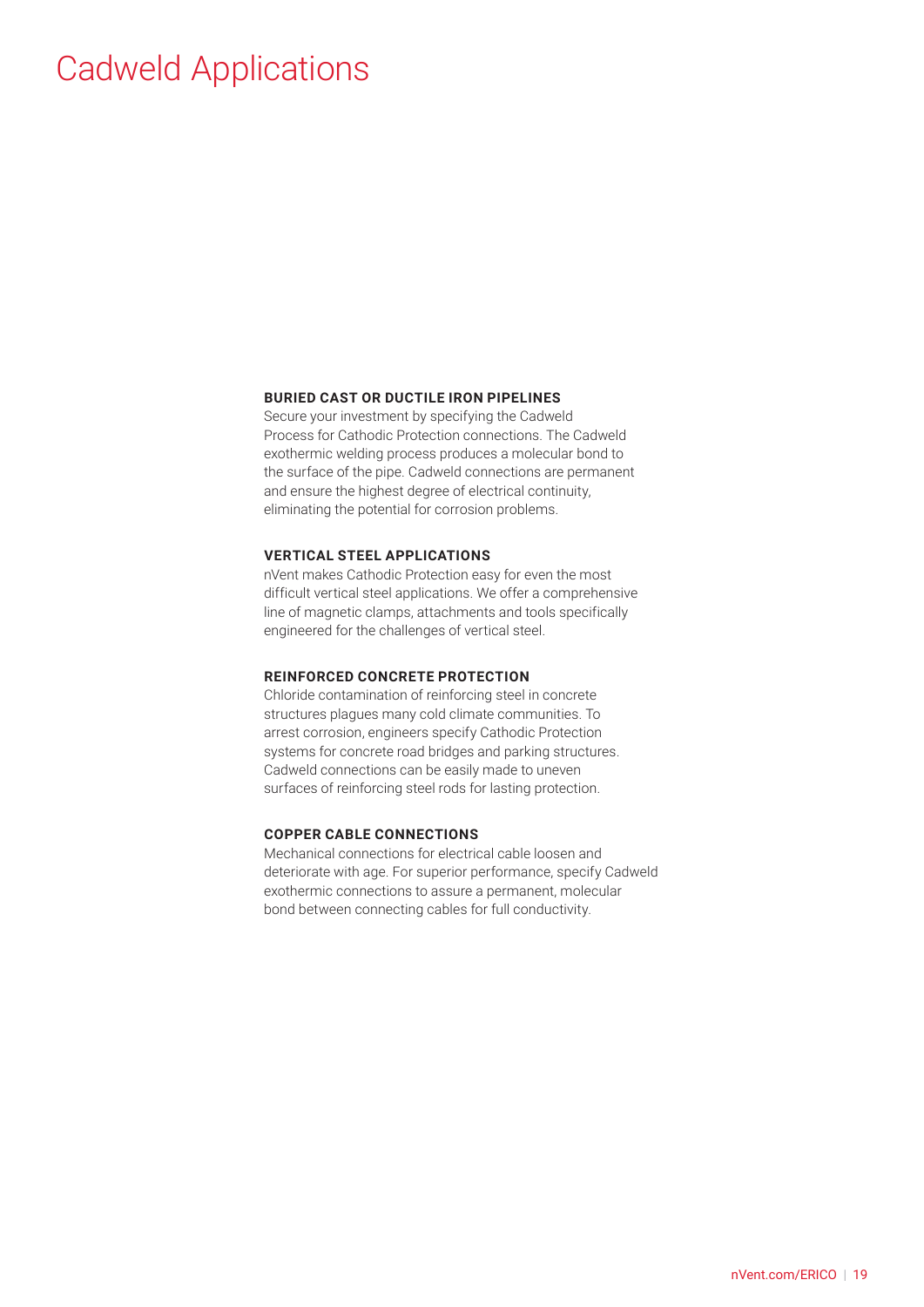### Cadweld Applications

#### **BURIED CAST OR DUCTILE IRON PIPELINES**

Secure your investment by specifying the Cadweld Process for Cathodic Protection connections. The Cadweld exothermic welding process produces a molecular bond to the surface of the pipe. Cadweld connections are permanent and ensure the highest degree of electrical continuity, eliminating the potential for corrosion problems.

#### **VERTICAL STEEL APPLICATIONS**

nVent makes Cathodic Protection easy for even the most difficult vertical steel applications. We offer a comprehensive line of magnetic clamps, attachments and tools specifically engineered for the challenges of vertical steel.

#### **REINFORCED CONCRETE PROTECTION**

Chloride contamination of reinforcing steel in concrete structures plagues many cold climate communities. To arrest corrosion, engineers specify Cathodic Protection systems for concrete road bridges and parking structures. Cadweld connections can be easily made to uneven surfaces of reinforcing steel rods for lasting protection.

#### **COPPER CABLE CONNECTIONS**

Mechanical connections for electrical cable loosen and deteriorate with age. For superior performance, specify Cadweld exothermic connections to assure a permanent, molecular bond between connecting cables for full conductivity.